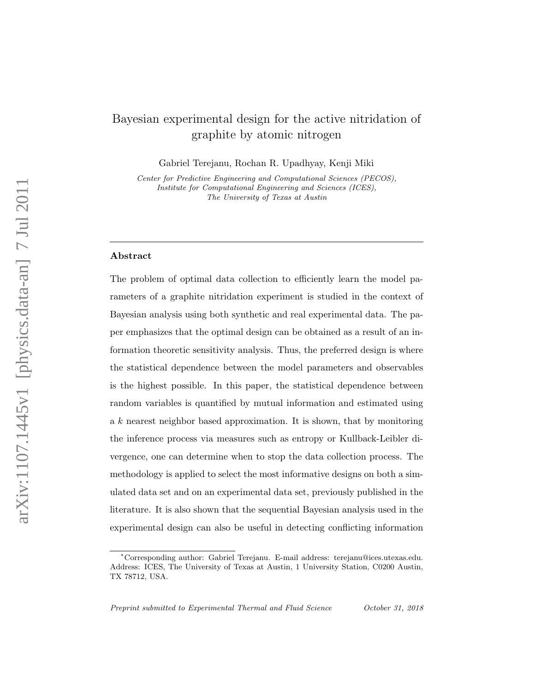# Bayesian experimental design for the active nitridation of graphite by atomic nitrogen

Gabriel Terejanu, Rochan R. Upadhyay, Kenji Miki

Center for Predictive Engineering and Computational Sciences (PECOS), Institute for Computational Engineering and Sciences (ICES), The University of Texas at Austin

#### Abstract

The problem of optimal data collection to efficiently learn the model parameters of a graphite nitridation experiment is studied in the context of Bayesian analysis using both synthetic and real experimental data. The paper emphasizes that the optimal design can be obtained as a result of an information theoretic sensitivity analysis. Thus, the preferred design is where the statistical dependence between the model parameters and observables is the highest possible. In this paper, the statistical dependence between random variables is quantified by mutual information and estimated using a k nearest neighbor based approximation. It is shown, that by monitoring the inference process via measures such as entropy or Kullback-Leibler divergence, one can determine when to stop the data collection process. The methodology is applied to select the most informative designs on both a simulated data set and on an experimental data set, previously published in the literature. It is also shown that the sequential Bayesian analysis used in the experimental design can also be useful in detecting conflicting information

<sup>∗</sup>Corresponding author: Gabriel Terejanu. E-mail address: terejanu@ices.utexas.edu. Address: ICES, The University of Texas at Austin, 1 University Station, C0200 Austin, TX 78712, USA.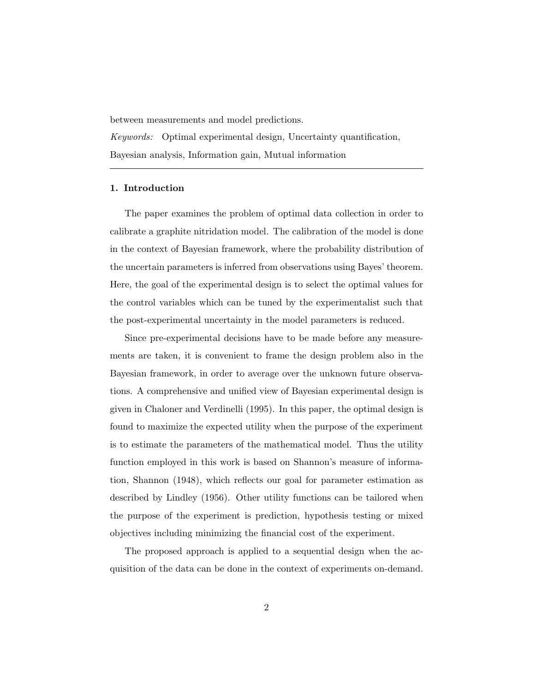between measurements and model predictions.

Keywords: Optimal experimental design, Uncertainty quantification, Bayesian analysis, Information gain, Mutual information

## 1. Introduction

The paper examines the problem of optimal data collection in order to calibrate a graphite nitridation model. The calibration of the model is done in the context of Bayesian framework, where the probability distribution of the uncertain parameters is inferred from observations using Bayes' theorem. Here, the goal of the experimental design is to select the optimal values for the control variables which can be tuned by the experimentalist such that the post-experimental uncertainty in the model parameters is reduced.

Since pre-experimental decisions have to be made before any measurements are taken, it is convenient to frame the design problem also in the Bayesian framework, in order to average over the unknown future observations. A comprehensive and unified view of Bayesian experimental design is given in Chaloner and Verdinelli (1995). In this paper, the optimal design is found to maximize the expected utility when the purpose of the experiment is to estimate the parameters of the mathematical model. Thus the utility function employed in this work is based on Shannon's measure of information, Shannon (1948), which reflects our goal for parameter estimation as described by Lindley (1956). Other utility functions can be tailored when the purpose of the experiment is prediction, hypothesis testing or mixed objectives including minimizing the financial cost of the experiment.

The proposed approach is applied to a sequential design when the acquisition of the data can be done in the context of experiments on-demand.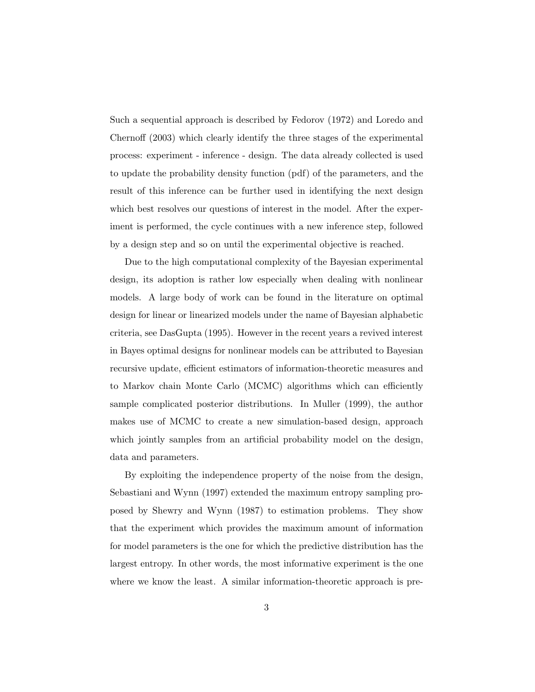Such a sequential approach is described by Fedorov (1972) and Loredo and Chernoff (2003) which clearly identify the three stages of the experimental process: experiment - inference - design. The data already collected is used to update the probability density function (pdf) of the parameters, and the result of this inference can be further used in identifying the next design which best resolves our questions of interest in the model. After the experiment is performed, the cycle continues with a new inference step, followed by a design step and so on until the experimental objective is reached.

Due to the high computational complexity of the Bayesian experimental design, its adoption is rather low especially when dealing with nonlinear models. A large body of work can be found in the literature on optimal design for linear or linearized models under the name of Bayesian alphabetic criteria, see DasGupta (1995). However in the recent years a revived interest in Bayes optimal designs for nonlinear models can be attributed to Bayesian recursive update, efficient estimators of information-theoretic measures and to Markov chain Monte Carlo (MCMC) algorithms which can efficiently sample complicated posterior distributions. In Muller (1999), the author makes use of MCMC to create a new simulation-based design, approach which jointly samples from an artificial probability model on the design, data and parameters.

By exploiting the independence property of the noise from the design, Sebastiani and Wynn (1997) extended the maximum entropy sampling proposed by Shewry and Wynn (1987) to estimation problems. They show that the experiment which provides the maximum amount of information for model parameters is the one for which the predictive distribution has the largest entropy. In other words, the most informative experiment is the one where we know the least. A similar information-theoretic approach is pre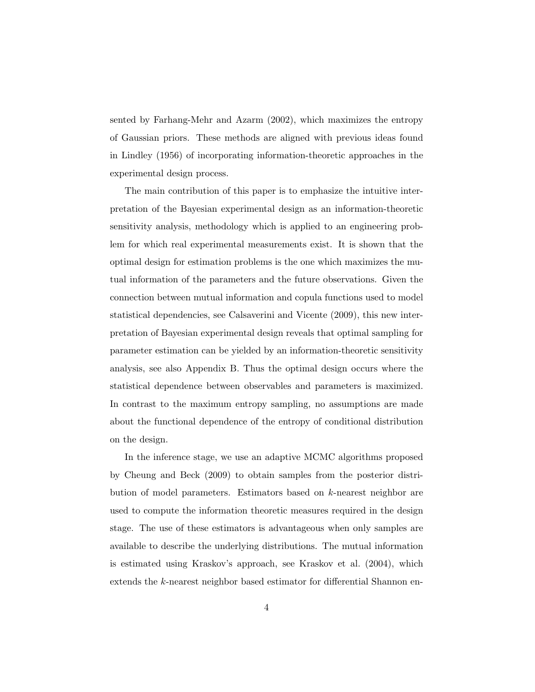sented by Farhang-Mehr and Azarm (2002), which maximizes the entropy of Gaussian priors. These methods are aligned with previous ideas found in Lindley (1956) of incorporating information-theoretic approaches in the experimental design process.

The main contribution of this paper is to emphasize the intuitive interpretation of the Bayesian experimental design as an information-theoretic sensitivity analysis, methodology which is applied to an engineering problem for which real experimental measurements exist. It is shown that the optimal design for estimation problems is the one which maximizes the mutual information of the parameters and the future observations. Given the connection between mutual information and copula functions used to model statistical dependencies, see Calsaverini and Vicente (2009), this new interpretation of Bayesian experimental design reveals that optimal sampling for parameter estimation can be yielded by an information-theoretic sensitivity analysis, see also Appendix B. Thus the optimal design occurs where the statistical dependence between observables and parameters is maximized. In contrast to the maximum entropy sampling, no assumptions are made about the functional dependence of the entropy of conditional distribution on the design.

In the inference stage, we use an adaptive MCMC algorithms proposed by Cheung and Beck (2009) to obtain samples from the posterior distribution of model parameters. Estimators based on k-nearest neighbor are used to compute the information theoretic measures required in the design stage. The use of these estimators is advantageous when only samples are available to describe the underlying distributions. The mutual information is estimated using Kraskov's approach, see Kraskov et al. (2004), which extends the k-nearest neighbor based estimator for differential Shannon en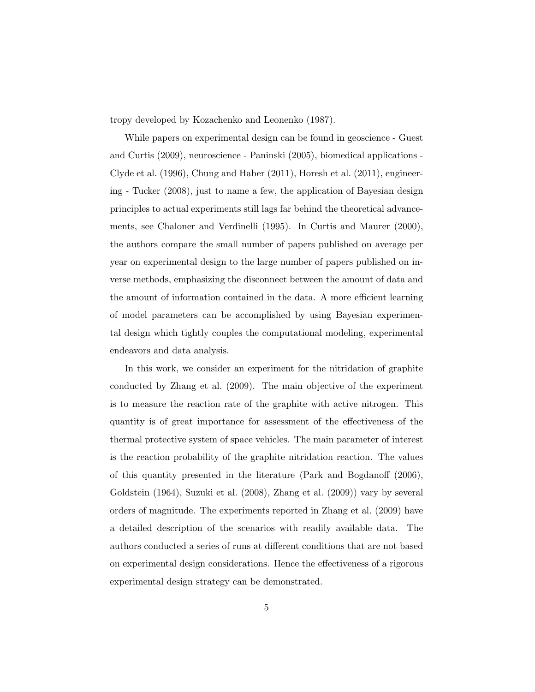tropy developed by Kozachenko and Leonenko (1987).

While papers on experimental design can be found in geoscience - Guest and Curtis (2009), neuroscience - Paninski (2005), biomedical applications - Clyde et al. (1996), Chung and Haber (2011), Horesh et al. (2011), engineering - Tucker (2008), just to name a few, the application of Bayesian design principles to actual experiments still lags far behind the theoretical advancements, see Chaloner and Verdinelli (1995). In Curtis and Maurer (2000), the authors compare the small number of papers published on average per year on experimental design to the large number of papers published on inverse methods, emphasizing the disconnect between the amount of data and the amount of information contained in the data. A more efficient learning of model parameters can be accomplished by using Bayesian experimental design which tightly couples the computational modeling, experimental endeavors and data analysis.

In this work, we consider an experiment for the nitridation of graphite conducted by Zhang et al. (2009). The main objective of the experiment is to measure the reaction rate of the graphite with active nitrogen. This quantity is of great importance for assessment of the effectiveness of the thermal protective system of space vehicles. The main parameter of interest is the reaction probability of the graphite nitridation reaction. The values of this quantity presented in the literature (Park and Bogdanoff (2006), Goldstein (1964), Suzuki et al. (2008), Zhang et al. (2009)) vary by several orders of magnitude. The experiments reported in Zhang et al. (2009) have a detailed description of the scenarios with readily available data. The authors conducted a series of runs at different conditions that are not based on experimental design considerations. Hence the effectiveness of a rigorous experimental design strategy can be demonstrated.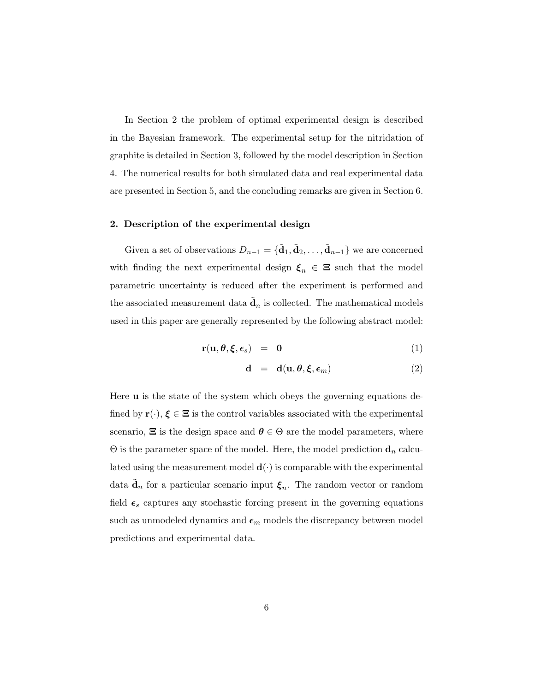In Section 2 the problem of optimal experimental design is described in the Bayesian framework. The experimental setup for the nitridation of graphite is detailed in Section 3, followed by the model description in Section 4. The numerical results for both simulated data and real experimental data are presented in Section 5, and the concluding remarks are given in Section 6.

### 2. Description of the experimental design

Given a set of observations  $D_{n-1} = {\{\tilde{\mathbf{d}}_1, \tilde{\mathbf{d}}_2, \dots, \tilde{\mathbf{d}}_{n-1}\}}$  we are concerned with finding the next experimental design  $\xi_n \in \Xi$  such that the model parametric uncertainty is reduced after the experiment is performed and the associated measurement data  $\tilde{\mathbf{d}}_n$  is collected. The mathematical models used in this paper are generally represented by the following abstract model:

$$
\mathbf{r}(\mathbf{u},\boldsymbol{\theta},\boldsymbol{\xi},\boldsymbol{\epsilon}_s) = \mathbf{0} \tag{1}
$$

$$
\mathbf{d} = \mathbf{d}(\mathbf{u}, \boldsymbol{\theta}, \boldsymbol{\xi}, \boldsymbol{\epsilon}_m) \tag{2}
$$

Here u is the state of the system which obeys the governing equations defined by  $\mathbf{r}(\cdot), \xi \in \Xi$  is the control variables associated with the experimental scenario,  $\Xi$  is the design space and  $\theta \in \Theta$  are the model parameters, where  $\Theta$  is the parameter space of the model. Here, the model prediction  $\mathbf{d}_n$  calculated using the measurement model  $\mathbf{d}(\cdot)$  is comparable with the experimental data  $\tilde{\mathbf{d}}_n$  for a particular scenario input  $\xi_n$ . The random vector or random field  $\epsilon_s$  captures any stochastic forcing present in the governing equations such as unmodeled dynamics and  $\epsilon_m$  models the discrepancy between model predictions and experimental data.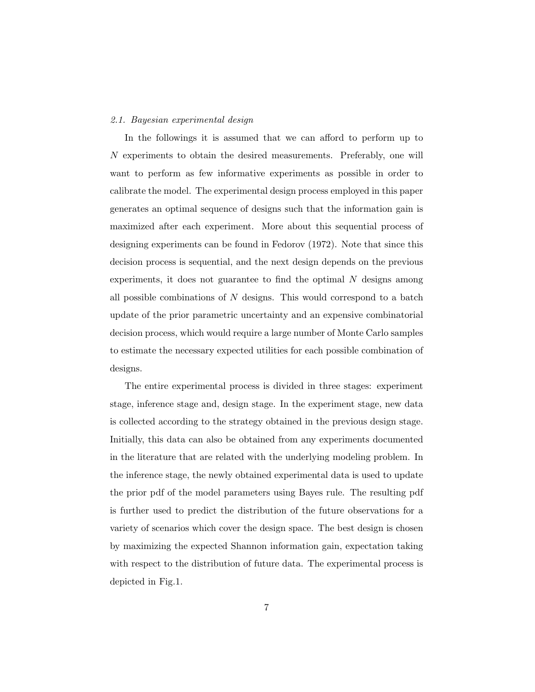#### 2.1. Bayesian experimental design

In the followings it is assumed that we can afford to perform up to N experiments to obtain the desired measurements. Preferably, one will want to perform as few informative experiments as possible in order to calibrate the model. The experimental design process employed in this paper generates an optimal sequence of designs such that the information gain is maximized after each experiment. More about this sequential process of designing experiments can be found in Fedorov (1972). Note that since this decision process is sequential, and the next design depends on the previous experiments, it does not guarantee to find the optimal  $N$  designs among all possible combinations of  $N$  designs. This would correspond to a batch update of the prior parametric uncertainty and an expensive combinatorial decision process, which would require a large number of Monte Carlo samples to estimate the necessary expected utilities for each possible combination of designs.

The entire experimental process is divided in three stages: experiment stage, inference stage and, design stage. In the experiment stage, new data is collected according to the strategy obtained in the previous design stage. Initially, this data can also be obtained from any experiments documented in the literature that are related with the underlying modeling problem. In the inference stage, the newly obtained experimental data is used to update the prior pdf of the model parameters using Bayes rule. The resulting pdf is further used to predict the distribution of the future observations for a variety of scenarios which cover the design space. The best design is chosen by maximizing the expected Shannon information gain, expectation taking with respect to the distribution of future data. The experimental process is depicted in Fig.1.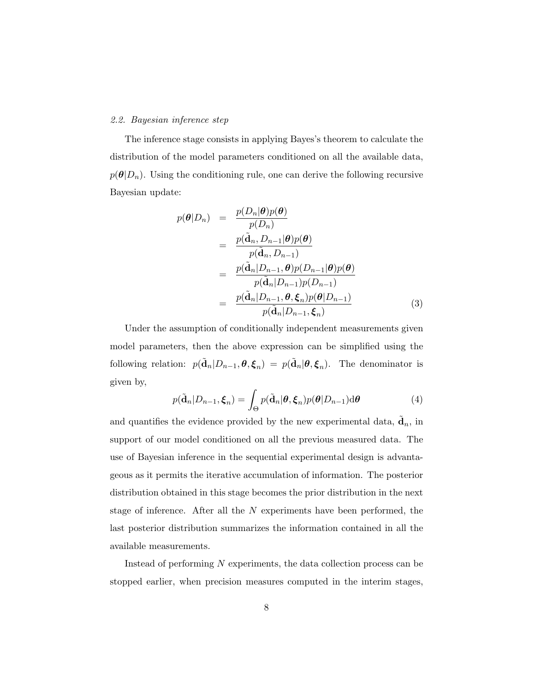# 2.2. Bayesian inference step

The inference stage consists in applying Bayes's theorem to calculate the distribution of the model parameters conditioned on all the available data,  $p(\theta|D_n)$ . Using the conditioning rule, one can derive the following recursive Bayesian update:

$$
p(\theta|D_n) = \frac{p(D_n|\theta)p(\theta)}{p(D_n)}
$$
  
= 
$$
\frac{p(\tilde{\mathbf{d}}_n, D_{n-1}|\theta)p(\theta)}{p(\tilde{\mathbf{d}}_n, D_{n-1})}
$$
  
= 
$$
\frac{p(\tilde{\mathbf{d}}_n|D_{n-1}, \theta)p(D_{n-1}|\theta)p(\theta)}{p(\tilde{\mathbf{d}}_n|D_{n-1})p(D_{n-1})}
$$
  
= 
$$
\frac{p(\tilde{\mathbf{d}}_n|D_{n-1}, \theta, \xi_n)p(\theta|D_{n-1})}{p(\tilde{\mathbf{d}}_n|D_{n-1}, \xi_n)}
$$
(3)

Under the assumption of conditionally independent measurements given model parameters, then the above expression can be simplified using the following relation:  $p(\tilde{\mathbf{d}}_n|D_{n-1},\boldsymbol{\theta},\boldsymbol{\xi}_n) = p(\tilde{\mathbf{d}}_n|\boldsymbol{\theta},\boldsymbol{\xi}_n)$ . The denominator is given by,

$$
p(\tilde{\mathbf{d}}_n|D_{n-1},\boldsymbol{\xi}_n) = \int_{\Theta} p(\tilde{\mathbf{d}}_n|\boldsymbol{\theta},\boldsymbol{\xi}_n)p(\boldsymbol{\theta}|D_{n-1})\mathrm{d}\boldsymbol{\theta}
$$
(4)

and quantifies the evidence provided by the new experimental data,  $\tilde{\mathbf{d}}_n$ , in support of our model conditioned on all the previous measured data. The use of Bayesian inference in the sequential experimental design is advantageous as it permits the iterative accumulation of information. The posterior distribution obtained in this stage becomes the prior distribution in the next stage of inference. After all the  $N$  experiments have been performed, the last posterior distribution summarizes the information contained in all the available measurements.

Instead of performing N experiments, the data collection process can be stopped earlier, when precision measures computed in the interim stages,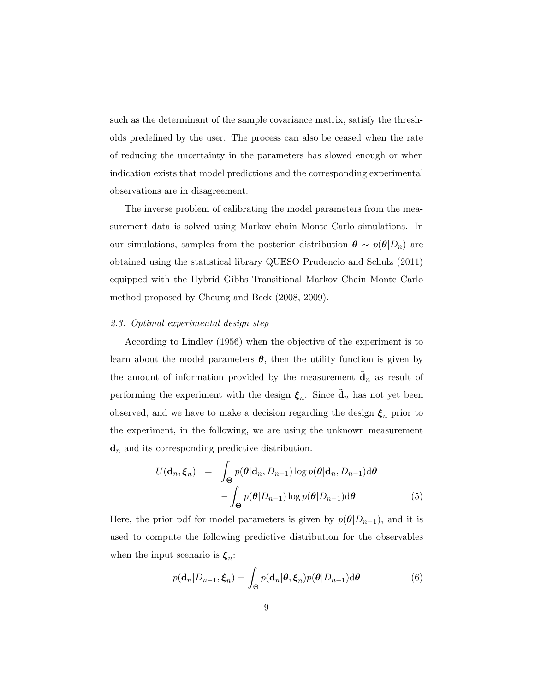such as the determinant of the sample covariance matrix, satisfy the thresholds predefined by the user. The process can also be ceased when the rate of reducing the uncertainty in the parameters has slowed enough or when indication exists that model predictions and the corresponding experimental observations are in disagreement.

The inverse problem of calibrating the model parameters from the measurement data is solved using Markov chain Monte Carlo simulations. In our simulations, samples from the posterior distribution  $\boldsymbol{\theta} \sim p(\boldsymbol{\theta}|D_n)$  are obtained using the statistical library QUESO Prudencio and Schulz (2011) equipped with the Hybrid Gibbs Transitional Markov Chain Monte Carlo method proposed by Cheung and Beck (2008, 2009).

## 2.3. Optimal experimental design step

According to Lindley (1956) when the objective of the experiment is to learn about the model parameters  $\theta$ , then the utility function is given by the amount of information provided by the measurement  $\tilde{\mathbf{d}}_n$  as result of performing the experiment with the design  $\xi_n$ . Since  $\tilde{d}_n$  has not yet been observed, and we have to make a decision regarding the design  $\xi_n$  prior to the experiment, in the following, we are using the unknown measurement  $\mathbf{d}_n$  and its corresponding predictive distribution.

$$
U(\mathbf{d}_n, \boldsymbol{\xi}_n) = \int_{\Theta} p(\boldsymbol{\theta} | \mathbf{d}_n, D_{n-1}) \log p(\boldsymbol{\theta} | \mathbf{d}_n, D_{n-1}) \mathrm{d}\boldsymbol{\theta} - \int_{\Theta} p(\boldsymbol{\theta} | D_{n-1}) \log p(\boldsymbol{\theta} | D_{n-1}) \mathrm{d}\boldsymbol{\theta}
$$
(5)

Here, the prior pdf for model parameters is given by  $p(\theta|D_{n-1})$ , and it is used to compute the following predictive distribution for the observables when the input scenario is  $\xi_n$ :

$$
p(\mathbf{d}_n|D_{n-1}, \boldsymbol{\xi}_n) = \int_{\Theta} p(\mathbf{d}_n|\boldsymbol{\theta}, \boldsymbol{\xi}_n) p(\boldsymbol{\theta}|D_{n-1}) \, \mathrm{d}\boldsymbol{\theta} \tag{6}
$$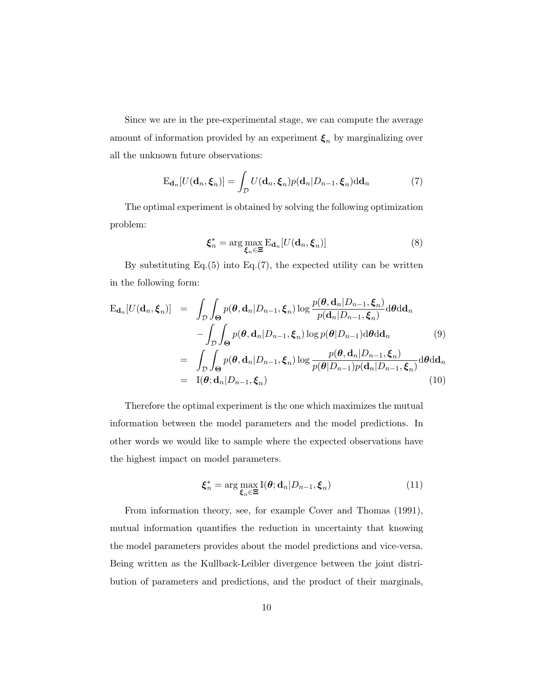Since we are in the pre-experimental stage, we can compute the average amount of information provided by an experiment  $\xi_n$  by marginalizing over all the unknown future observations:

$$
E_{\mathbf{d}_n}[U(\mathbf{d}_n, \boldsymbol{\xi}_n)] = \int_{\mathcal{D}} U(\mathbf{d}_n, \boldsymbol{\xi}_n) p(\mathbf{d}_n | D_{n-1}, \boldsymbol{\xi}_n) d\mathbf{d}_n \tag{7}
$$

The optimal experiment is obtained by solving the following optimization problem:

$$
\boldsymbol{\xi}_n^* = \arg \max_{\boldsymbol{\xi}_n \in \Xi} \mathrm{E}_{\mathbf{d}_n} [U(\mathbf{d}_n, \boldsymbol{\xi}_n)] \tag{8}
$$

By substituting  $Eq.(5)$  into  $Eq.(7)$ , the expected utility can be written in the following form:

$$
\begin{split} \mathbf{E}_{\mathbf{d}_{n}}[U(\mathbf{d}_{n},\boldsymbol{\xi}_{n})] &= \int_{\mathcal{D}} \int_{\Theta} p(\boldsymbol{\theta},\mathbf{d}_{n}|D_{n-1},\boldsymbol{\xi}_{n}) \log \frac{p(\boldsymbol{\theta},\mathbf{d}_{n}|D_{n-1},\boldsymbol{\xi}_{n})}{p(\mathbf{d}_{n}|D_{n-1},\boldsymbol{\xi}_{n})} \mathrm{d}\boldsymbol{\theta} \mathrm{d}\mathbf{d}_{n} \\ &- \int_{\mathcal{D}} \int_{\Theta} p(\boldsymbol{\theta},\mathbf{d}_{n}|D_{n-1},\boldsymbol{\xi}_{n}) \log p(\boldsymbol{\theta}|D_{n-1}) \mathrm{d}\boldsymbol{\theta} \mathrm{d}\mathbf{d}_{n} \end{split} \tag{9}
$$
\n
$$
= \int_{\mathcal{D}} \int_{\Theta} p(\boldsymbol{\theta},\mathbf{d}_{n}|D_{n-1},\boldsymbol{\xi}_{n}) \log \frac{p(\boldsymbol{\theta},\mathbf{d}_{n}|D_{n-1},\boldsymbol{\xi}_{n})}{p(\boldsymbol{\theta}|D_{n-1})p(\mathbf{d}_{n}|D_{n-1},\boldsymbol{\xi}_{n})} \mathrm{d}\boldsymbol{\theta} \mathrm{d}\mathbf{d}_{n}
$$
\n
$$
= \mathbf{I}(\boldsymbol{\theta};\mathbf{d}_{n}|D_{n-1},\boldsymbol{\xi}_{n}) \tag{10}
$$

Therefore the optimal experiment is the one which maximizes the mutual information between the model parameters and the model predictions. In other words we would like to sample where the expected observations have the highest impact on model parameters.

$$
\boldsymbol{\xi}_n^* = \arg \max_{\boldsymbol{\xi}_n \in \Xi} \mathbf{I}(\boldsymbol{\theta}; \mathbf{d}_n | D_{n-1}, \boldsymbol{\xi}_n)
$$
(11)

From information theory, see, for example Cover and Thomas (1991), mutual information quantifies the reduction in uncertainty that knowing the model parameters provides about the model predictions and vice-versa. Being written as the Kullback-Leibler divergence between the joint distribution of parameters and predictions, and the product of their marginals,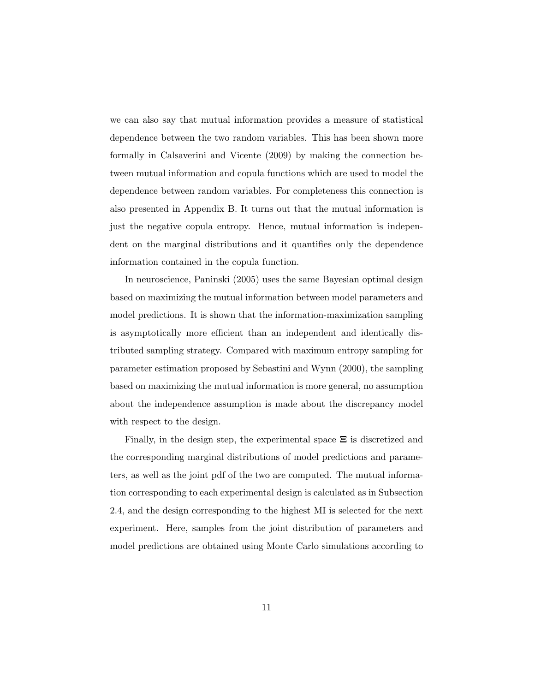we can also say that mutual information provides a measure of statistical dependence between the two random variables. This has been shown more formally in Calsaverini and Vicente (2009) by making the connection between mutual information and copula functions which are used to model the dependence between random variables. For completeness this connection is also presented in Appendix B. It turns out that the mutual information is just the negative copula entropy. Hence, mutual information is independent on the marginal distributions and it quantifies only the dependence information contained in the copula function.

In neuroscience, Paninski (2005) uses the same Bayesian optimal design based on maximizing the mutual information between model parameters and model predictions. It is shown that the information-maximization sampling is asymptotically more efficient than an independent and identically distributed sampling strategy. Compared with maximum entropy sampling for parameter estimation proposed by Sebastini and Wynn (2000), the sampling based on maximizing the mutual information is more general, no assumption about the independence assumption is made about the discrepancy model with respect to the design.

Finally, in the design step, the experimental space  $\Xi$  is discretized and the corresponding marginal distributions of model predictions and parameters, as well as the joint pdf of the two are computed. The mutual information corresponding to each experimental design is calculated as in Subsection 2.4, and the design corresponding to the highest MI is selected for the next experiment. Here, samples from the joint distribution of parameters and model predictions are obtained using Monte Carlo simulations according to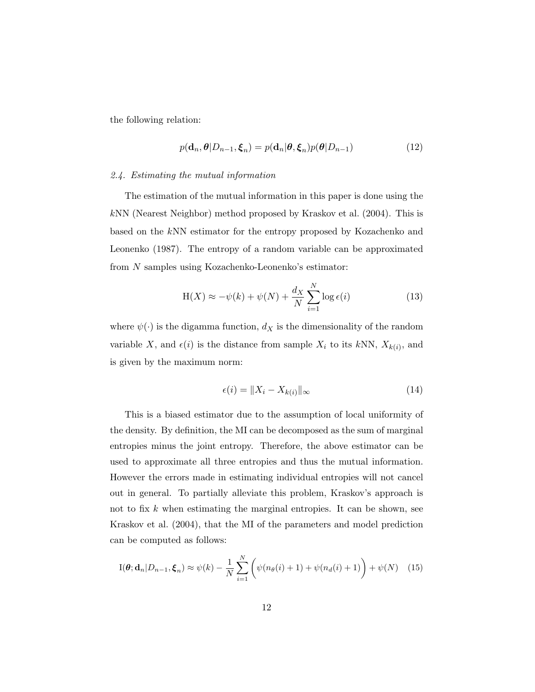the following relation:

$$
p(\mathbf{d}_n, \boldsymbol{\theta}|D_{n-1}, \boldsymbol{\xi}_n) = p(\mathbf{d}_n | \boldsymbol{\theta}, \boldsymbol{\xi}_n) p(\boldsymbol{\theta}|D_{n-1})
$$
\n(12)

## 2.4. Estimating the mutual information

The estimation of the mutual information in this paper is done using the kNN (Nearest Neighbor) method proposed by Kraskov et al. (2004). This is based on the kNN estimator for the entropy proposed by Kozachenko and Leonenko (1987). The entropy of a random variable can be approximated from N samples using Kozachenko-Leonenko's estimator:

$$
H(X) \approx -\psi(k) + \psi(N) + \frac{d_X}{N} \sum_{i=1}^{N} \log \epsilon(i)
$$
 (13)

where  $\psi(\cdot)$  is the digamma function,  $d_X$  is the dimensionality of the random variable X, and  $\epsilon(i)$  is the distance from sample  $X_i$  to its kNN,  $X_{k(i)}$ , and is given by the maximum norm:

$$
\epsilon(i) = \|X_i - X_{k(i)}\|_{\infty} \tag{14}
$$

This is a biased estimator due to the assumption of local uniformity of the density. By definition, the MI can be decomposed as the sum of marginal entropies minus the joint entropy. Therefore, the above estimator can be used to approximate all three entropies and thus the mutual information. However the errors made in estimating individual entropies will not cancel out in general. To partially alleviate this problem, Kraskov's approach is not to fix  $k$  when estimating the marginal entropies. It can be shown, see Kraskov et al. (2004), that the MI of the parameters and model prediction can be computed as follows:

$$
I(\boldsymbol{\theta}; \mathbf{d}_n | D_{n-1}, \boldsymbol{\xi}_n) \approx \psi(k) - \frac{1}{N} \sum_{i=1}^N \left( \psi(n_{\boldsymbol{\theta}}(i) + 1) + \psi(n_d(i) + 1) \right) + \psi(N) \quad (15)
$$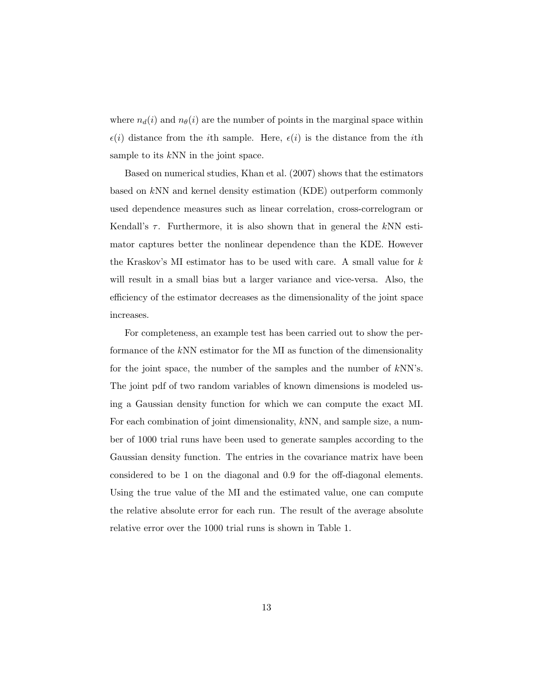where  $n_d(i)$  and  $n_\theta(i)$  are the number of points in the marginal space within  $\epsilon(i)$  distance from the *i*th sample. Here,  $\epsilon(i)$  is the distance from the *i*th sample to its kNN in the joint space.

Based on numerical studies, Khan et al. (2007) shows that the estimators based on kNN and kernel density estimation (KDE) outperform commonly used dependence measures such as linear correlation, cross-correlogram or Kendall's  $\tau$ . Furthermore, it is also shown that in general the kNN estimator captures better the nonlinear dependence than the KDE. However the Kraskov's MI estimator has to be used with care. A small value for  $k$ will result in a small bias but a larger variance and vice-versa. Also, the efficiency of the estimator decreases as the dimensionality of the joint space increases.

For completeness, an example test has been carried out to show the performance of the kNN estimator for the MI as function of the dimensionality for the joint space, the number of the samples and the number of kNN's. The joint pdf of two random variables of known dimensions is modeled using a Gaussian density function for which we can compute the exact MI. For each combination of joint dimensionality, kNN, and sample size, a number of 1000 trial runs have been used to generate samples according to the Gaussian density function. The entries in the covariance matrix have been considered to be 1 on the diagonal and 0.9 for the off-diagonal elements. Using the true value of the MI and the estimated value, one can compute the relative absolute error for each run. The result of the average absolute relative error over the 1000 trial runs is shown in Table 1.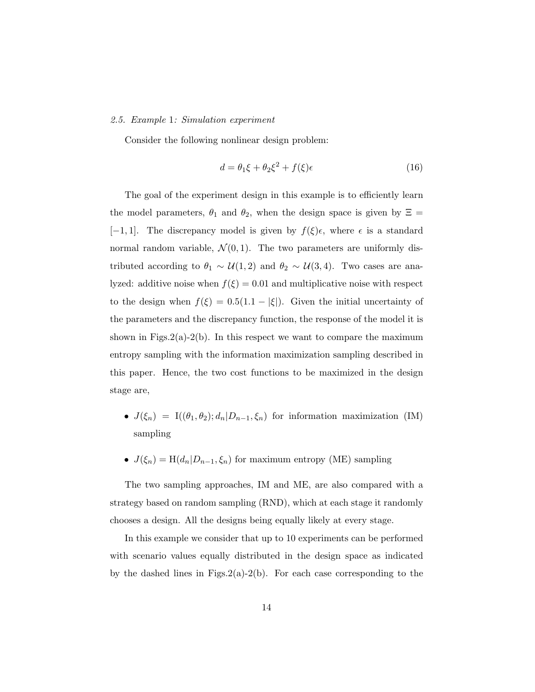#### 2.5. Example 1: Simulation experiment

Consider the following nonlinear design problem:

$$
d = \theta_1 \xi + \theta_2 \xi^2 + f(\xi)\epsilon \tag{16}
$$

The goal of the experiment design in this example is to efficiently learn the model parameters,  $\theta_1$  and  $\theta_2$ , when the design space is given by  $\Xi$  = [-1,1]. The discrepancy model is given by  $f(\xi)\epsilon$ , where  $\epsilon$  is a standard normal random variable,  $\mathcal{N}(0,1)$ . The two parameters are uniformly distributed according to  $\theta_1 \sim \mathcal{U}(1, 2)$  and  $\theta_2 \sim \mathcal{U}(3, 4)$ . Two cases are analyzed: additive noise when  $f(\xi) = 0.01$  and multiplicative noise with respect to the design when  $f(\xi) = 0.5(1.1 - |\xi|)$ . Given the initial uncertainty of the parameters and the discrepancy function, the response of the model it is shown in Figs.2(a)-2(b). In this respect we want to compare the maximum entropy sampling with the information maximization sampling described in this paper. Hence, the two cost functions to be maximized in the design stage are,

- $J(\xi_n) = I((\theta_1, \theta_2); d_n | D_{n-1}, \xi_n)$  for information maximization (IM) sampling
- $J(\xi_n) = H(d_n | D_{n-1}, \xi_n)$  for maximum entropy (ME) sampling

The two sampling approaches, IM and ME, are also compared with a strategy based on random sampling (RND), which at each stage it randomly chooses a design. All the designs being equally likely at every stage.

In this example we consider that up to 10 experiments can be performed with scenario values equally distributed in the design space as indicated by the dashed lines in Figs.  $2(a)-2(b)$ . For each case corresponding to the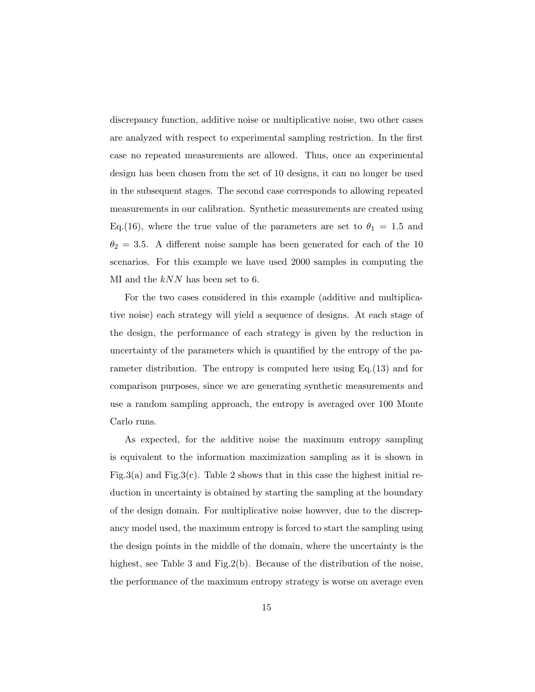discrepancy function, additive noise or multiplicative noise, two other cases are analyzed with respect to experimental sampling restriction. In the first case no repeated measurements are allowed. Thus, once an experimental design has been chosen from the set of 10 designs, it can no longer be used in the subsequent stages. The second case corresponds to allowing repeated measurements in our calibration. Synthetic measurements are created using Eq.(16), where the true value of the parameters are set to  $\theta_1 = 1.5$  and  $\theta_2 = 3.5$ . A different noise sample has been generated for each of the 10 scenarios. For this example we have used 2000 samples in computing the MI and the  $kNN$  has been set to 6.

For the two cases considered in this example (additive and multiplicative noise) each strategy will yield a sequence of designs. At each stage of the design, the performance of each strategy is given by the reduction in uncertainty of the parameters which is quantified by the entropy of the parameter distribution. The entropy is computed here using Eq.(13) and for comparison purposes, since we are generating synthetic measurements and use a random sampling approach, the entropy is averaged over 100 Monte Carlo runs.

As expected, for the additive noise the maximum entropy sampling is equivalent to the information maximization sampling as it is shown in Fig.3(a) and Fig.3(c). Table 2 shows that in this case the highest initial reduction in uncertainty is obtained by starting the sampling at the boundary of the design domain. For multiplicative noise however, due to the discrepancy model used, the maximum entropy is forced to start the sampling using the design points in the middle of the domain, where the uncertainty is the highest, see Table 3 and Fig.2(b). Because of the distribution of the noise, the performance of the maximum entropy strategy is worse on average even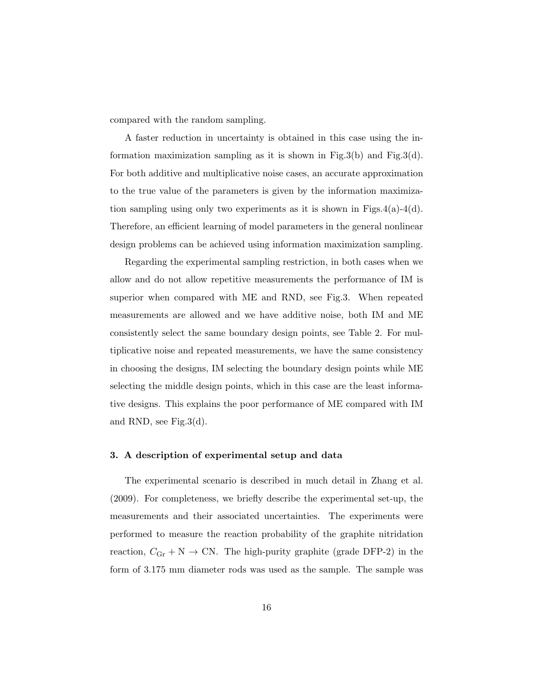compared with the random sampling.

A faster reduction in uncertainty is obtained in this case using the information maximization sampling as it is shown in Fig.3(b) and Fig.3(d). For both additive and multiplicative noise cases, an accurate approximation to the true value of the parameters is given by the information maximization sampling using only two experiments as it is shown in Figs.4(a)-4(d). Therefore, an efficient learning of model parameters in the general nonlinear design problems can be achieved using information maximization sampling.

Regarding the experimental sampling restriction, in both cases when we allow and do not allow repetitive measurements the performance of IM is superior when compared with ME and RND, see Fig.3. When repeated measurements are allowed and we have additive noise, both IM and ME consistently select the same boundary design points, see Table 2. For multiplicative noise and repeated measurements, we have the same consistency in choosing the designs, IM selecting the boundary design points while ME selecting the middle design points, which in this case are the least informative designs. This explains the poor performance of ME compared with IM and RND, see Fig.3(d).

## 3. A description of experimental setup and data

The experimental scenario is described in much detail in Zhang et al. (2009). For completeness, we briefly describe the experimental set-up, the measurements and their associated uncertainties. The experiments were performed to measure the reaction probability of the graphite nitridation reaction,  $C_{\text{Gr}} + \text{N} \rightarrow \text{CN}$ . The high-purity graphite (grade DFP-2) in the form of 3.175 mm diameter rods was used as the sample. The sample was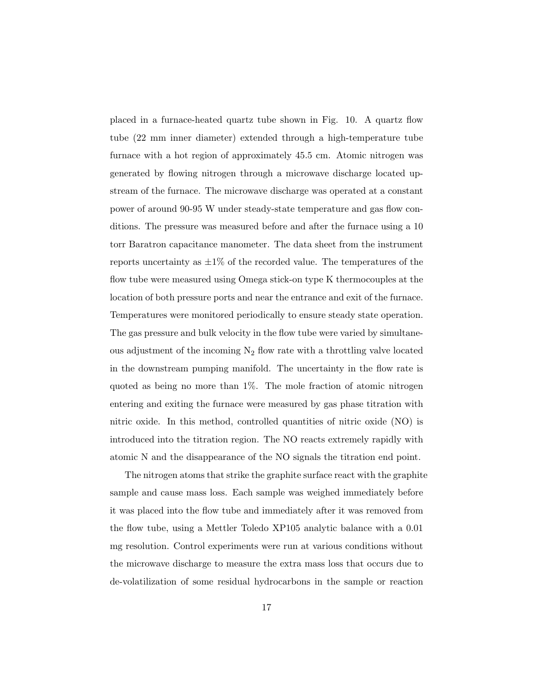placed in a furnace-heated quartz tube shown in Fig. 10. A quartz flow tube (22 mm inner diameter) extended through a high-temperature tube furnace with a hot region of approximately 45.5 cm. Atomic nitrogen was generated by flowing nitrogen through a microwave discharge located upstream of the furnace. The microwave discharge was operated at a constant power of around 90-95 W under steady-state temperature and gas flow conditions. The pressure was measured before and after the furnace using a 10 torr Baratron capacitance manometer. The data sheet from the instrument reports uncertainty as  $\pm 1\%$  of the recorded value. The temperatures of the flow tube were measured using Omega stick-on type K thermocouples at the location of both pressure ports and near the entrance and exit of the furnace. Temperatures were monitored periodically to ensure steady state operation. The gas pressure and bulk velocity in the flow tube were varied by simultaneous adjustment of the incoming  $N_2$  flow rate with a throttling valve located in the downstream pumping manifold. The uncertainty in the flow rate is quoted as being no more than 1%. The mole fraction of atomic nitrogen entering and exiting the furnace were measured by gas phase titration with nitric oxide. In this method, controlled quantities of nitric oxide (NO) is introduced into the titration region. The NO reacts extremely rapidly with atomic N and the disappearance of the NO signals the titration end point.

The nitrogen atoms that strike the graphite surface react with the graphite sample and cause mass loss. Each sample was weighed immediately before it was placed into the flow tube and immediately after it was removed from the flow tube, using a Mettler Toledo XP105 analytic balance with a 0.01 mg resolution. Control experiments were run at various conditions without the microwave discharge to measure the extra mass loss that occurs due to de-volatilization of some residual hydrocarbons in the sample or reaction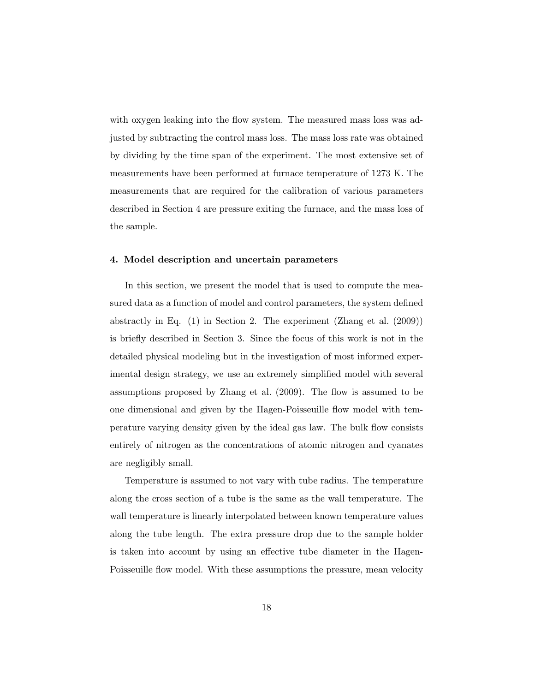with oxygen leaking into the flow system. The measured mass loss was adjusted by subtracting the control mass loss. The mass loss rate was obtained by dividing by the time span of the experiment. The most extensive set of measurements have been performed at furnace temperature of 1273 K. The measurements that are required for the calibration of various parameters described in Section 4 are pressure exiting the furnace, and the mass loss of the sample.

#### 4. Model description and uncertain parameters

In this section, we present the model that is used to compute the measured data as a function of model and control parameters, the system defined abstractly in Eq. (1) in Section 2. The experiment (Zhang et al. (2009)) is briefly described in Section 3. Since the focus of this work is not in the detailed physical modeling but in the investigation of most informed experimental design strategy, we use an extremely simplified model with several assumptions proposed by Zhang et al. (2009). The flow is assumed to be one dimensional and given by the Hagen-Poisseuille flow model with temperature varying density given by the ideal gas law. The bulk flow consists entirely of nitrogen as the concentrations of atomic nitrogen and cyanates are negligibly small.

Temperature is assumed to not vary with tube radius. The temperature along the cross section of a tube is the same as the wall temperature. The wall temperature is linearly interpolated between known temperature values along the tube length. The extra pressure drop due to the sample holder is taken into account by using an effective tube diameter in the Hagen-Poisseuille flow model. With these assumptions the pressure, mean velocity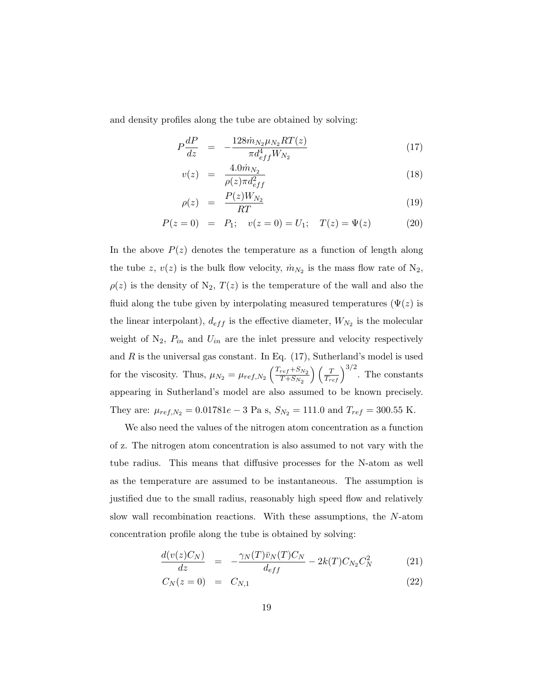and density profiles along the tube are obtained by solving:

$$
P\frac{dP}{dz} = -\frac{128\dot{m}_{N_2}\mu_{N_2}RT(z)}{\pi d_{eff}^4 W_{N_2}}\tag{17}
$$

$$
v(z) = \frac{4.0\dot{m}_{N_2}}{\rho(z)\pi d_{eff}^2}
$$
\n(18)

$$
\rho(z) = \frac{P(z)W_{N_2}}{RT} \tag{19}
$$

$$
P(z = 0) = P_1; \quad v(z = 0) = U_1; \quad T(z) = \Psi(z) \tag{20}
$$

In the above  $P(z)$  denotes the temperature as a function of length along the tube z,  $v(z)$  is the bulk flow velocity,  $\dot{m}_{N_2}$  is the mass flow rate of  $N_2$ ,  $\rho(z)$  is the density of N<sub>2</sub>,  $T(z)$  is the temperature of the wall and also the fluid along the tube given by interpolating measured temperatures  $(\Psi(z))$  is the linear interpolant),  $d_{eff}$  is the effective diameter,  $W_{N_2}$  is the molecular weight of  $N_2$ ,  $P_{in}$  and  $U_{in}$  are the inlet pressure and velocity respectively and  $R$  is the universal gas constant. In Eq.  $(17)$ , Sutherland's model is used for the viscosity. Thus,  $\mu_{N_2} = \mu_{ref,N_2} \left( \frac{T_{ref} + S_{N_2}}{T + S_{N_2}} \right)$  $T + S_{N_2}$  $\left(\frac{T}{T_{ref}}\right)^{3/2}$ . The constants appearing in Sutherland's model are also assumed to be known precisely. They are:  $\mu_{ref,N_2} = 0.01781e - 3$  Pa s,  $S_{N_2} = 111.0$  and  $T_{ref} = 300.55$  K.

We also need the values of the nitrogen atom concentration as a function of z. The nitrogen atom concentration is also assumed to not vary with the tube radius. This means that diffusive processes for the N-atom as well as the temperature are assumed to be instantaneous. The assumption is justified due to the small radius, reasonably high speed flow and relatively slow wall recombination reactions. With these assumptions, the N-atom concentration profile along the tube is obtained by solving:

$$
\frac{d(v(z)C_N)}{dz} = -\frac{\gamma_N(T)\bar{v}_N(T)C_N}{d_{eff}} - 2k(T)C_{N_2}C_N^2 \tag{21}
$$

$$
C_N(z=0) = C_{N,1}
$$
\n(22)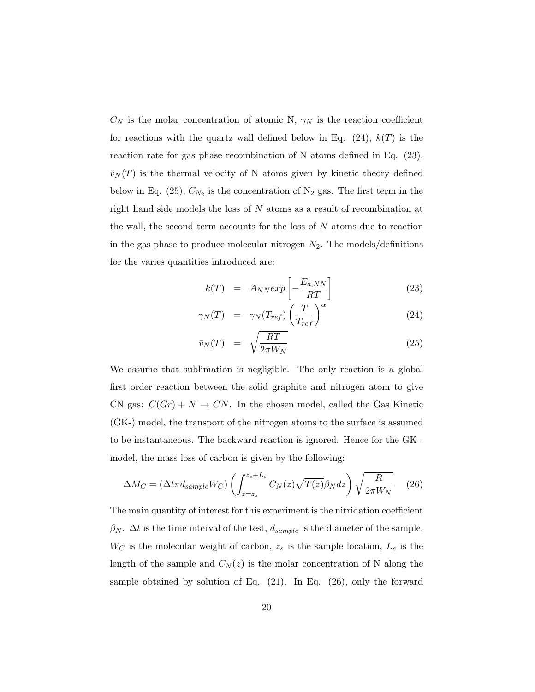$C_N$  is the molar concentration of atomic N,  $\gamma_N$  is the reaction coefficient for reactions with the quartz wall defined below in Eq.  $(24)$ ,  $k(T)$  is the reaction rate for gas phase recombination of N atoms defined in Eq. (23),  $\bar{v}_N(T)$  is the thermal velocity of N atoms given by kinetic theory defined below in Eq. (25),  $C_{N_2}$  is the concentration of N<sub>2</sub> gas. The first term in the right hand side models the loss of N atoms as a result of recombination at the wall, the second term accounts for the loss of  $N$  atoms due to reaction in the gas phase to produce molecular nitrogen  $N_2$ . The models/definitions for the varies quantities introduced are:

$$
k(T) = A_{NN} exp\left[-\frac{E_{a,NN}}{RT}\right]
$$
 (23)

$$
\gamma_N(T) = \gamma_N(T_{ref}) \left(\frac{T}{T_{ref}}\right)^{\alpha} \tag{24}
$$

$$
\bar{v}_N(T) = \sqrt{\frac{RT}{2\pi W_N}}
$$
\n(25)

We assume that sublimation is negligible. The only reaction is a global first order reaction between the solid graphite and nitrogen atom to give CN gas:  $C(Gr) + N \rightarrow CN$ . In the chosen model, called the Gas Kinetic (GK-) model, the transport of the nitrogen atoms to the surface is assumed to be instantaneous. The backward reaction is ignored. Hence for the GK model, the mass loss of carbon is given by the following:

$$
\Delta M_C = (\Delta t \pi d_{sample} W_C) \left( \int_{z=z_s}^{z_s+L_s} C_N(z) \sqrt{T(z)} \beta_N dz \right) \sqrt{\frac{R}{2\pi W_N}} \tag{26}
$$

The main quantity of interest for this experiment is the nitridation coefficient  $\beta_N$ .  $\Delta t$  is the time interval of the test,  $d_{sample}$  is the diameter of the sample,  $W_C$  is the molecular weight of carbon,  $z_s$  is the sample location,  $L_s$  is the length of the sample and  $C_N(z)$  is the molar concentration of N along the sample obtained by solution of Eq.  $(21)$ . In Eq.  $(26)$ , only the forward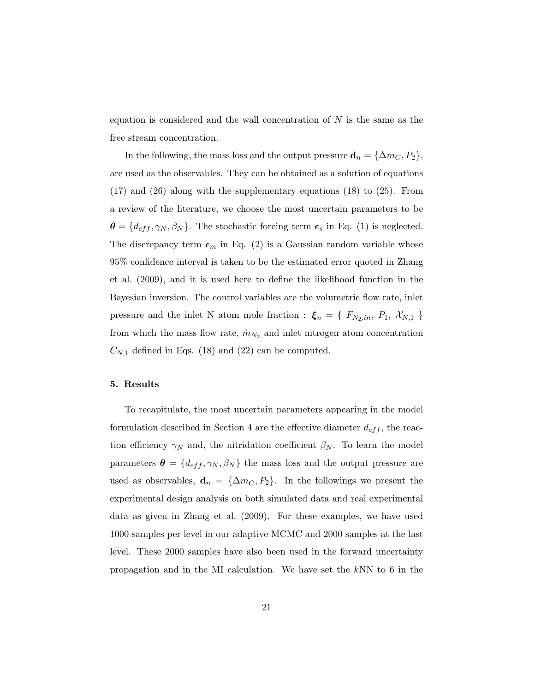equation is considered and the wall concentration of  $N$  is the same as the free stream concentration.

In the following, the mass loss and the output pressure  $\mathbf{d}_n = {\Delta m_C, P_2},$ are used as the observables. They can be obtained as a solution of equations  $(17)$  and  $(26)$  along with the supplementary equations  $(18)$  to  $(25)$ . From a review of the literature, we choose the most uncertain parameters to be  $\boldsymbol{\theta} = \{d_{eff}, \gamma_N, \beta_N\}$ . The stochastic forcing term  $\boldsymbol{\epsilon}_s$  in Eq. (1) is neglected. The discrepancy term  $\epsilon_m$  in Eq. (2) is a Gaussian random variable whose 95% confidence interval is taken to be the estimated error quoted in Zhang et al. (2009), and it is used here to define the likelihood function in the Bayesian inversion. The control variables are the volumetric flow rate, inlet pressure and the inlet N atom mole fraction :  $\xi_n = \{F_{N_2,in}, P_1, \mathcal{X}_{N,1}\}$ from which the mass flow rate,  $\dot{m}_{N_2}$  and inlet nitrogen atom concentration  $C_{N,1}$  defined in Eqs. (18) and (22) can be computed.

## 5. Results

To recapitulate, the most uncertain parameters appearing in the model formulation described in Section 4 are the effective diameter  $d_{eff}$ , the reaction efficiency  $\gamma_N$  and, the nitridation coefficient  $\beta_N$ . To learn the model parameters  $\boldsymbol{\theta} = \{d_{eff}, \gamma_N, \beta_N\}$  the mass loss and the output pressure are used as observables,  $\mathbf{d}_n = {\Delta m_C, P_2}.$  In the followings we present the experimental design analysis on both simulated data and real experimental data as given in Zhang et al. (2009). For these examples, we have used 1000 samples per level in our adaptive MCMC and 2000 samples at the last level. These 2000 samples have also been used in the forward uncertainty propagation and in the MI calculation. We have set the kNN to 6 in the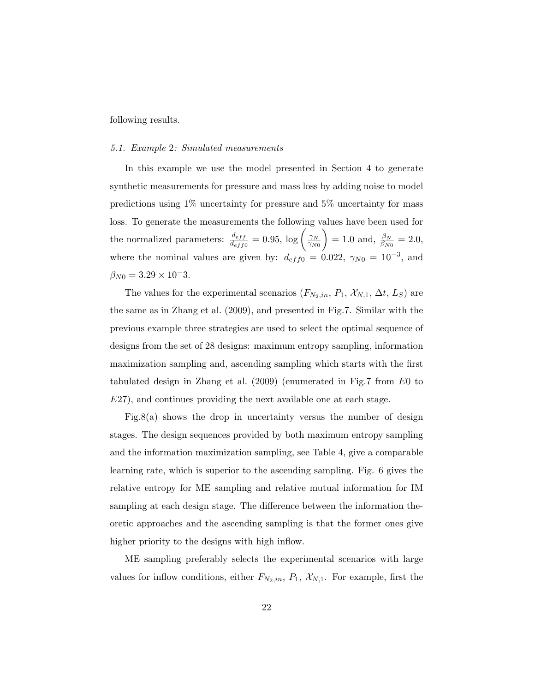following results.

# 5.1. Example 2: Simulated measurements

In this example we use the model presented in Section 4 to generate synthetic measurements for pressure and mass loss by adding noise to model predictions using 1% uncertainty for pressure and 5% uncertainty for mass loss. To generate the measurements the following values have been used for the normalized parameters:  $\frac{d_{eff}}{d_{eff0}} = 0.95$ ,  $\log \left( \frac{\gamma_N}{\gamma_{Ni}} \right)$  $\overline{\gamma_{N0}}$  $= 1.0 \text{ and, } \frac{\beta_N}{\beta_{N0}} = 2.0,$ where the nominal values are given by:  $d_{eff0} = 0.022$ ,  $\gamma_{N0} = 10^{-3}$ , and  $\beta_{N0} = 3.29 \times 10^{-3}$ .

The values for the experimental scenarios  $(F_{N_2,in}, P_1, \mathcal{X}_{N,1}, \Delta t, L_S)$  are the same as in Zhang et al. (2009), and presented in Fig.7. Similar with the previous example three strategies are used to select the optimal sequence of designs from the set of 28 designs: maximum entropy sampling, information maximization sampling and, ascending sampling which starts with the first tabulated design in Zhang et al. (2009) (enumerated in Fig.7 from E0 to E27), and continues providing the next available one at each stage.

Fig.8(a) shows the drop in uncertainty versus the number of design stages. The design sequences provided by both maximum entropy sampling and the information maximization sampling, see Table 4, give a comparable learning rate, which is superior to the ascending sampling. Fig. 6 gives the relative entropy for ME sampling and relative mutual information for IM sampling at each design stage. The difference between the information theoretic approaches and the ascending sampling is that the former ones give higher priority to the designs with high inflow.

ME sampling preferably selects the experimental scenarios with large values for inflow conditions, either  $F_{N_2,in}$ ,  $P_1$ ,  $\mathcal{X}_{N,1}$ . For example, first the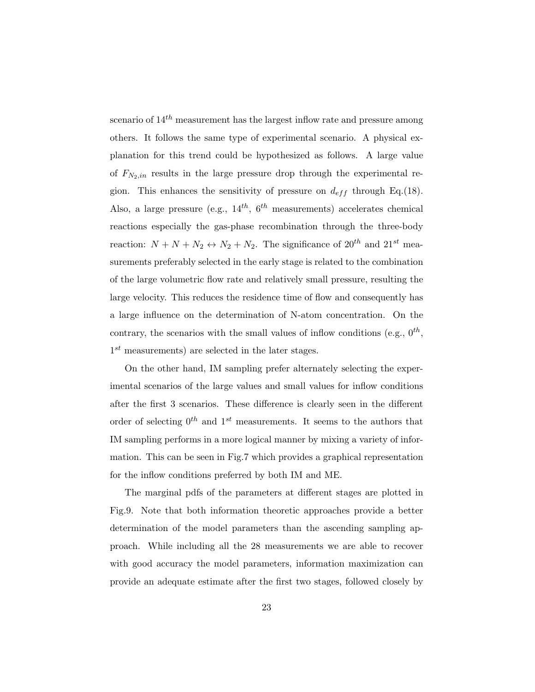scenario of  $14^{th}$  measurement has the largest inflow rate and pressure among others. It follows the same type of experimental scenario. A physical explanation for this trend could be hypothesized as follows. A large value of  $F_{N_2,in}$  results in the large pressure drop through the experimental region. This enhances the sensitivity of pressure on  $d_{eff}$  through Eq.(18). Also, a large pressure (e.g.,  $14^{th}$ ,  $6^{th}$  measurements) accelerates chemical reactions especially the gas-phase recombination through the three-body reaction:  $N + N + N_2 \leftrightarrow N_2 + N_2$ . The significance of  $20^{th}$  and  $21^{st}$  measurements preferably selected in the early stage is related to the combination of the large volumetric flow rate and relatively small pressure, resulting the large velocity. This reduces the residence time of flow and consequently has a large influence on the determination of N-atom concentration. On the contrary, the scenarios with the small values of inflow conditions (e.g.,  $0^{th}$ ,  $1^{st}$  measurements) are selected in the later stages.

On the other hand, IM sampling prefer alternately selecting the experimental scenarios of the large values and small values for inflow conditions after the first 3 scenarios. These difference is clearly seen in the different order of selecting  $0^{th}$  and  $1^{st}$  measurements. It seems to the authors that IM sampling performs in a more logical manner by mixing a variety of information. This can be seen in Fig.7 which provides a graphical representation for the inflow conditions preferred by both IM and ME.

The marginal pdfs of the parameters at different stages are plotted in Fig.9. Note that both information theoretic approaches provide a better determination of the model parameters than the ascending sampling approach. While including all the 28 measurements we are able to recover with good accuracy the model parameters, information maximization can provide an adequate estimate after the first two stages, followed closely by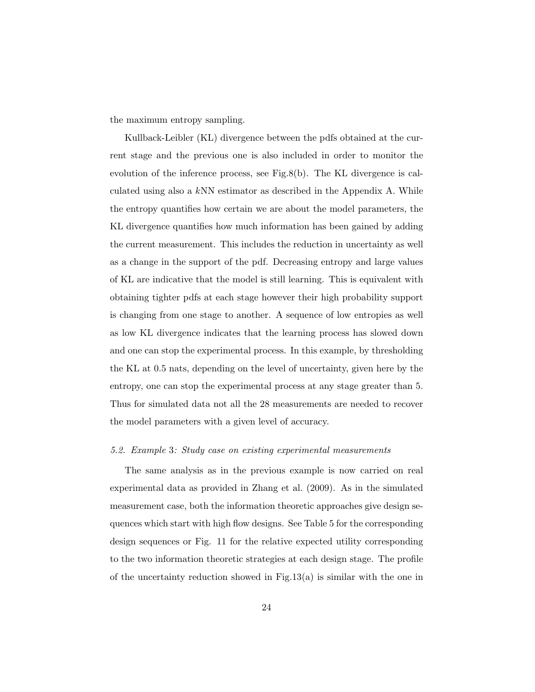the maximum entropy sampling.

Kullback-Leibler (KL) divergence between the pdfs obtained at the current stage and the previous one is also included in order to monitor the evolution of the inference process, see Fig.8(b). The KL divergence is calculated using also a  $kNN$  estimator as described in the Appendix A. While the entropy quantifies how certain we are about the model parameters, the KL divergence quantifies how much information has been gained by adding the current measurement. This includes the reduction in uncertainty as well as a change in the support of the pdf. Decreasing entropy and large values of KL are indicative that the model is still learning. This is equivalent with obtaining tighter pdfs at each stage however their high probability support is changing from one stage to another. A sequence of low entropies as well as low KL divergence indicates that the learning process has slowed down and one can stop the experimental process. In this example, by thresholding the KL at 0.5 nats, depending on the level of uncertainty, given here by the entropy, one can stop the experimental process at any stage greater than 5. Thus for simulated data not all the 28 measurements are needed to recover the model parameters with a given level of accuracy.

#### 5.2. Example 3: Study case on existing experimental measurements

The same analysis as in the previous example is now carried on real experimental data as provided in Zhang et al. (2009). As in the simulated measurement case, both the information theoretic approaches give design sequences which start with high flow designs. See Table 5 for the corresponding design sequences or Fig. 11 for the relative expected utility corresponding to the two information theoretic strategies at each design stage. The profile of the uncertainty reduction showed in Fig.13(a) is similar with the one in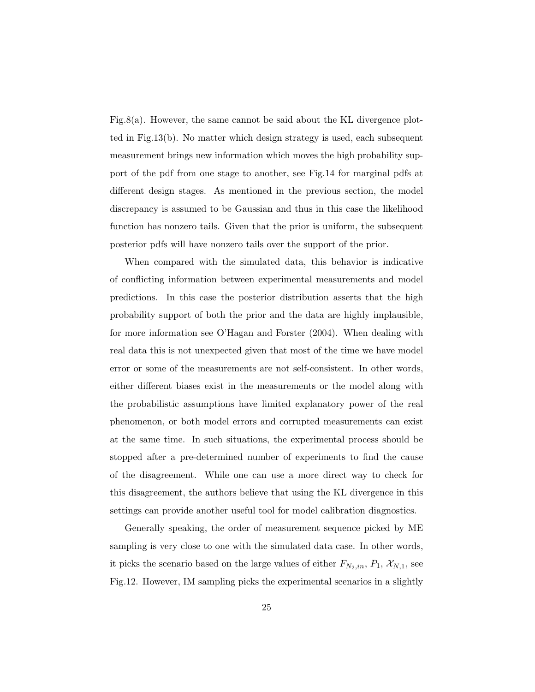Fig.8(a). However, the same cannot be said about the KL divergence plotted in Fig.13(b). No matter which design strategy is used, each subsequent measurement brings new information which moves the high probability support of the pdf from one stage to another, see Fig.14 for marginal pdfs at different design stages. As mentioned in the previous section, the model discrepancy is assumed to be Gaussian and thus in this case the likelihood function has nonzero tails. Given that the prior is uniform, the subsequent posterior pdfs will have nonzero tails over the support of the prior.

When compared with the simulated data, this behavior is indicative of conflicting information between experimental measurements and model predictions. In this case the posterior distribution asserts that the high probability support of both the prior and the data are highly implausible, for more information see O'Hagan and Forster (2004). When dealing with real data this is not unexpected given that most of the time we have model error or some of the measurements are not self-consistent. In other words, either different biases exist in the measurements or the model along with the probabilistic assumptions have limited explanatory power of the real phenomenon, or both model errors and corrupted measurements can exist at the same time. In such situations, the experimental process should be stopped after a pre-determined number of experiments to find the cause of the disagreement. While one can use a more direct way to check for this disagreement, the authors believe that using the KL divergence in this settings can provide another useful tool for model calibration diagnostics.

Generally speaking, the order of measurement sequence picked by ME sampling is very close to one with the simulated data case. In other words, it picks the scenario based on the large values of either  $F_{N_2,in}$ ,  $P_1$ ,  $\mathcal{X}_{N,1}$ , see Fig.12. However, IM sampling picks the experimental scenarios in a slightly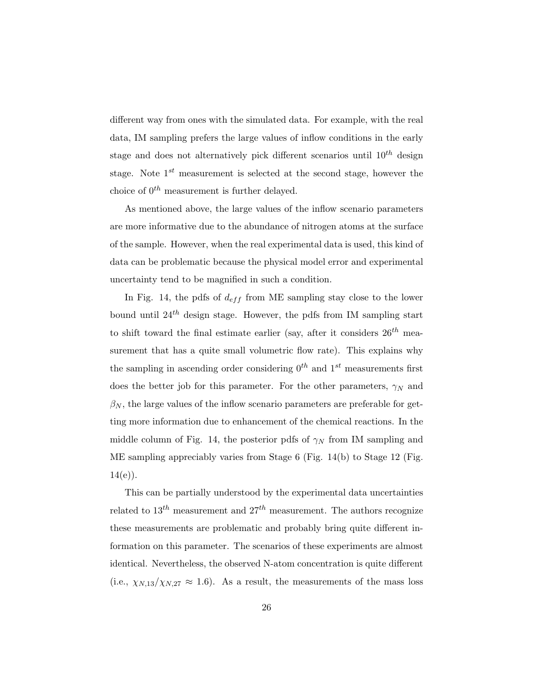different way from ones with the simulated data. For example, with the real data, IM sampling prefers the large values of inflow conditions in the early stage and does not alternatively pick different scenarios until  $10^{th}$  design stage. Note  $1^{st}$  measurement is selected at the second stage, however the choice of  $0^{th}$  measurement is further delayed.

As mentioned above, the large values of the inflow scenario parameters are more informative due to the abundance of nitrogen atoms at the surface of the sample. However, when the real experimental data is used, this kind of data can be problematic because the physical model error and experimental uncertainty tend to be magnified in such a condition.

In Fig. 14, the pdfs of  $d_{eff}$  from ME sampling stay close to the lower bound until  $24<sup>th</sup>$  design stage. However, the pdfs from IM sampling start to shift toward the final estimate earlier (say, after it considers  $26^{th}$  measurement that has a quite small volumetric flow rate). This explains why the sampling in ascending order considering  $0^{th}$  and  $1^{st}$  measurements first does the better job for this parameter. For the other parameters,  $\gamma_N$  and  $\beta_N$ , the large values of the inflow scenario parameters are preferable for getting more information due to enhancement of the chemical reactions. In the middle column of Fig. 14, the posterior pdfs of  $\gamma_N$  from IM sampling and ME sampling appreciably varies from Stage 6 (Fig. 14(b) to Stage 12 (Fig.  $14(e)$ ).

This can be partially understood by the experimental data uncertainties related to  $13^{th}$  measurement and  $27^{th}$  measurement. The authors recognize these measurements are problematic and probably bring quite different information on this parameter. The scenarios of these experiments are almost identical. Nevertheless, the observed N-atom concentration is quite different (i.e.,  $\chi_{N,13}/\chi_{N,27} \approx 1.6$ ). As a result, the measurements of the mass loss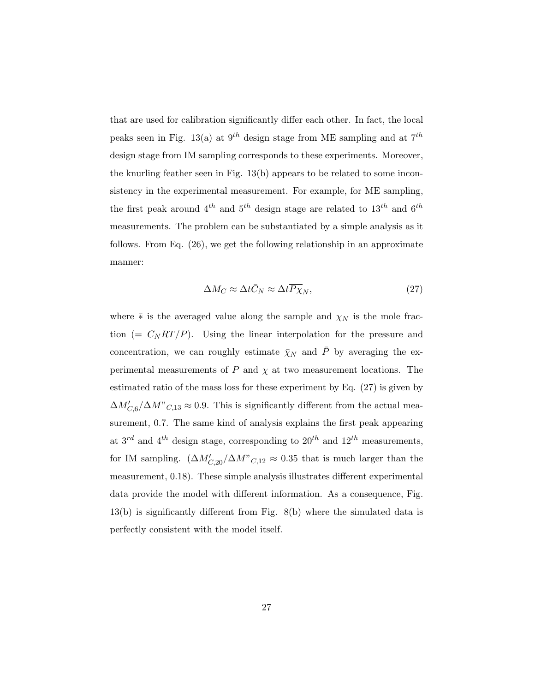that are used for calibration significantly differ each other. In fact, the local peaks seen in Fig. 13(a) at  $9^{th}$  design stage from ME sampling and at  $7^{th}$ design stage from IM sampling corresponds to these experiments. Moreover, the knurling feather seen in Fig. 13(b) appears to be related to some inconsistency in the experimental measurement. For example, for ME sampling, the first peak around  $4^{th}$  and  $5^{th}$  design stage are related to  $13^{th}$  and  $6^{th}$ measurements. The problem can be substantiated by a simple analysis as it follows. From Eq. (26), we get the following relationship in an approximate manner:

$$
\Delta M_C \approx \Delta t \bar{C}_N \approx \Delta t \overline{P \chi}_N,\tag{27}
$$

where  $\bar∗$  is the averaged value along the sample and  $\chi_N$  is the mole fraction (=  $C_N RT/P$ ). Using the linear interpolation for the pressure and concentration, we can roughly estimate  $\bar{\chi}_N$  and  $\bar{P}$  by averaging the experimental measurements of  $P$  and  $\chi$  at two measurement locations. The estimated ratio of the mass loss for these experiment by Eq. (27) is given by  $\Delta M'_{C,6}/\Delta M"_{C,13} \approx 0.9$ . This is significantly different from the actual measurement, 0.7. The same kind of analysis explains the first peak appearing at  $3^{rd}$  and  $4^{th}$  design stage, corresponding to  $20^{th}$  and  $12^{th}$  measurements, for IM sampling.  $(\Delta M'_{C,20}/\Delta M''_{C,12} \approx 0.35$  that is much larger than the measurement, 0.18). These simple analysis illustrates different experimental data provide the model with different information. As a consequence, Fig. 13(b) is significantly different from Fig. 8(b) where the simulated data is perfectly consistent with the model itself.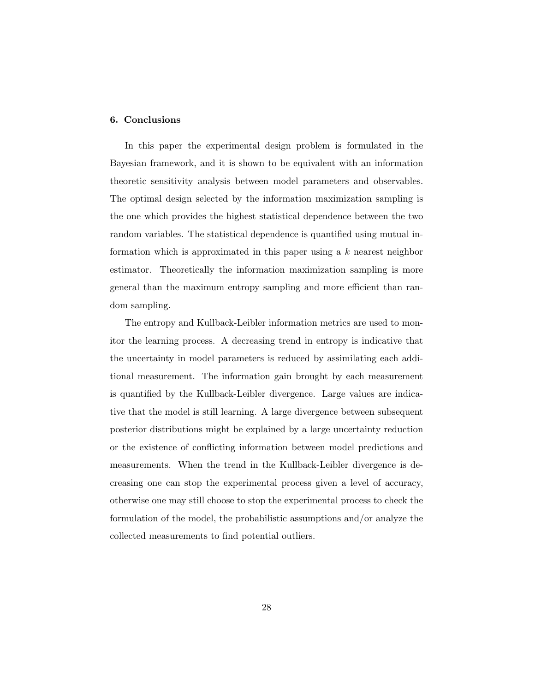# 6. Conclusions

In this paper the experimental design problem is formulated in the Bayesian framework, and it is shown to be equivalent with an information theoretic sensitivity analysis between model parameters and observables. The optimal design selected by the information maximization sampling is the one which provides the highest statistical dependence between the two random variables. The statistical dependence is quantified using mutual information which is approximated in this paper using a  $k$  nearest neighbor estimator. Theoretically the information maximization sampling is more general than the maximum entropy sampling and more efficient than random sampling.

The entropy and Kullback-Leibler information metrics are used to monitor the learning process. A decreasing trend in entropy is indicative that the uncertainty in model parameters is reduced by assimilating each additional measurement. The information gain brought by each measurement is quantified by the Kullback-Leibler divergence. Large values are indicative that the model is still learning. A large divergence between subsequent posterior distributions might be explained by a large uncertainty reduction or the existence of conflicting information between model predictions and measurements. When the trend in the Kullback-Leibler divergence is decreasing one can stop the experimental process given a level of accuracy, otherwise one may still choose to stop the experimental process to check the formulation of the model, the probabilistic assumptions and/or analyze the collected measurements to find potential outliers.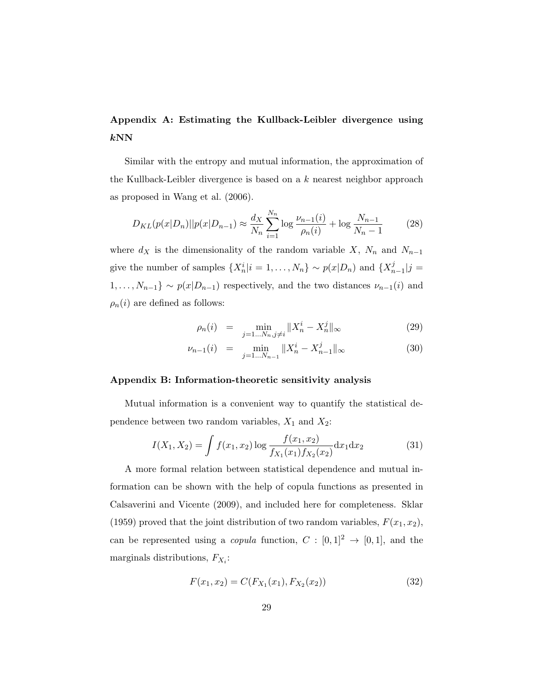# Appendix A: Estimating the Kullback-Leibler divergence using  $kNN$

Similar with the entropy and mutual information, the approximation of the Kullback-Leibler divergence is based on a k nearest neighbor approach as proposed in Wang et al. (2006).

$$
D_{KL}(p(x|D_n)||p(x|D_{n-1}) \approx \frac{d_X}{N_n} \sum_{i=1}^{N_n} \log \frac{\nu_{n-1}(i)}{\rho_n(i)} + \log \frac{N_{n-1}}{N_n - 1}
$$
(28)

where  $d_X$  is the dimensionality of the random variable X,  $N_n$  and  $N_{n-1}$ give the number of samples  $\{X_n^i | i = 1, ..., N_n\} \sim p(x|D_n)$  and  $\{X_n^j\}$  $_{n-1}^{j}|j=$  $1, \ldots, N_{n-1}$ } ~  $p(x|D_{n-1})$  respectively, and the two distances  $\nu_{n-1}(i)$  and  $\rho_n(i)$  are defined as follows:

$$
\rho_n(i) = \min_{j=1...N_n, j \neq i} \|X_n^i - X_n^j\|_{\infty} \tag{29}
$$

$$
\nu_{n-1}(i) = \min_{j=1...N_{n-1}} \|X_n^i - X_{n-1}^j\|_{\infty}
$$
\n(30)

## Appendix B: Information-theoretic sensitivity analysis

Mutual information is a convenient way to quantify the statistical dependence between two random variables,  $X_1$  and  $X_2$ :

$$
I(X_1, X_2) = \int f(x_1, x_2) \log \frac{f(x_1, x_2)}{f_{X_1}(x_1) f_{X_2}(x_2)} dx_1 dx_2
$$
 (31)

A more formal relation between statistical dependence and mutual information can be shown with the help of copula functions as presented in Calsaverini and Vicente (2009), and included here for completeness. Sklar (1959) proved that the joint distribution of two random variables,  $F(x_1, x_2)$ , can be represented using a *copula* function,  $C : [0,1]^2 \rightarrow [0,1]$ , and the marginals distributions,  $F_{X_i}$ :

$$
F(x_1, x_2) = C(F_{X_1}(x_1), F_{X_2}(x_2))
$$
\n(32)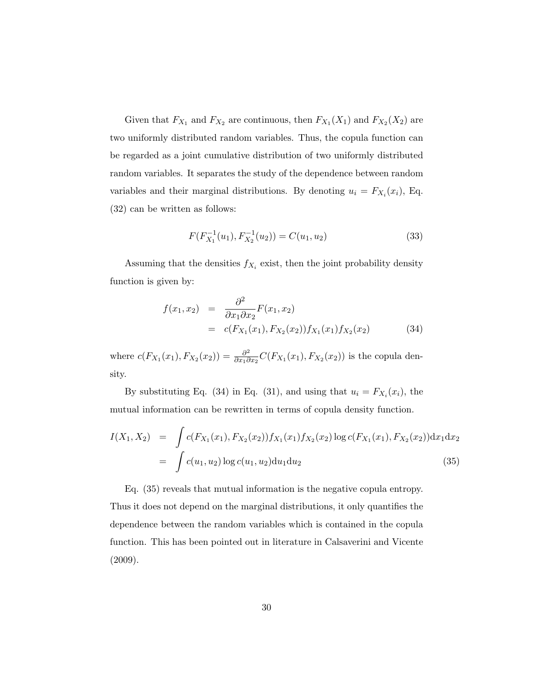Given that  $F_{X_1}$  and  $F_{X_2}$  are continuous, then  $F_{X_1}(X_1)$  and  $F_{X_2}(X_2)$  are two uniformly distributed random variables. Thus, the copula function can be regarded as a joint cumulative distribution of two uniformly distributed random variables. It separates the study of the dependence between random variables and their marginal distributions. By denoting  $u_i = F_{X_i}(x_i)$ , Eq. (32) can be written as follows:

$$
F(F_{X_1}^{-1}(u_1), F_{X_2}^{-1}(u_2)) = C(u_1, u_2)
$$
\n(33)

Assuming that the densities  $f_{X_i}$  exist, then the joint probability density function is given by:

$$
f(x_1, x_2) = \frac{\partial^2}{\partial x_1 \partial x_2} F(x_1, x_2)
$$
  
=  $c(F_{X_1}(x_1), F_{X_2}(x_2)) f_{X_1}(x_1) f_{X_2}(x_2)$  (34)

where  $c(F_{X_1}(x_1), F_{X_2}(x_2)) = \frac{\partial^2}{\partial x_1 \partial x_2}$  $\frac{\partial^2}{\partial x_1 \partial x_2} C(F_{X_1}(x_1), F_{X_2}(x_2))$  is the copula density.

By substituting Eq. (34) in Eq. (31), and using that  $u_i = F_{X_i}(x_i)$ , the mutual information can be rewritten in terms of copula density function.

$$
I(X_1, X_2) = \int c(F_{X_1}(x_1), F_{X_2}(x_2)) f_{X_1}(x_1) f_{X_2}(x_2) \log c(F_{X_1}(x_1), F_{X_2}(x_2)) dx_1 dx_2
$$
  
= 
$$
\int c(u_1, u_2) \log c(u_1, u_2) du_1 du_2
$$
(35)

Eq. (35) reveals that mutual information is the negative copula entropy. Thus it does not depend on the marginal distributions, it only quantifies the dependence between the random variables which is contained in the copula function. This has been pointed out in literature in Calsaverini and Vicente (2009).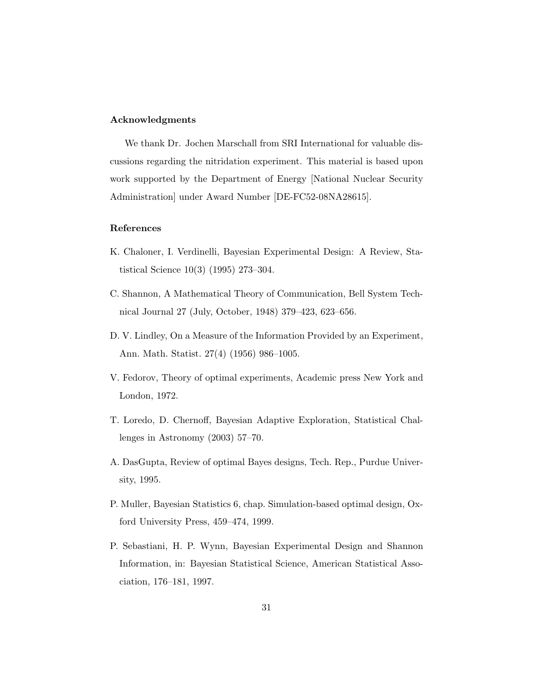# Acknowledgments

We thank Dr. Jochen Marschall from SRI International for valuable discussions regarding the nitridation experiment. This material is based upon work supported by the Department of Energy [National Nuclear Security Administration] under Award Number [DE-FC52-08NA28615].

# References

- K. Chaloner, I. Verdinelli, Bayesian Experimental Design: A Review, Statistical Science 10(3) (1995) 273–304.
- C. Shannon, A Mathematical Theory of Communication, Bell System Technical Journal 27 (July, October, 1948) 379–423, 623–656.
- D. V. Lindley, On a Measure of the Information Provided by an Experiment, Ann. Math. Statist. 27(4) (1956) 986–1005.
- V. Fedorov, Theory of optimal experiments, Academic press New York and London, 1972.
- T. Loredo, D. Chernoff, Bayesian Adaptive Exploration, Statistical Challenges in Astronomy (2003) 57–70.
- A. DasGupta, Review of optimal Bayes designs, Tech. Rep., Purdue University, 1995.
- P. Muller, Bayesian Statistics 6, chap. Simulation-based optimal design, Oxford University Press, 459–474, 1999.
- P. Sebastiani, H. P. Wynn, Bayesian Experimental Design and Shannon Information, in: Bayesian Statistical Science, American Statistical Association, 176–181, 1997.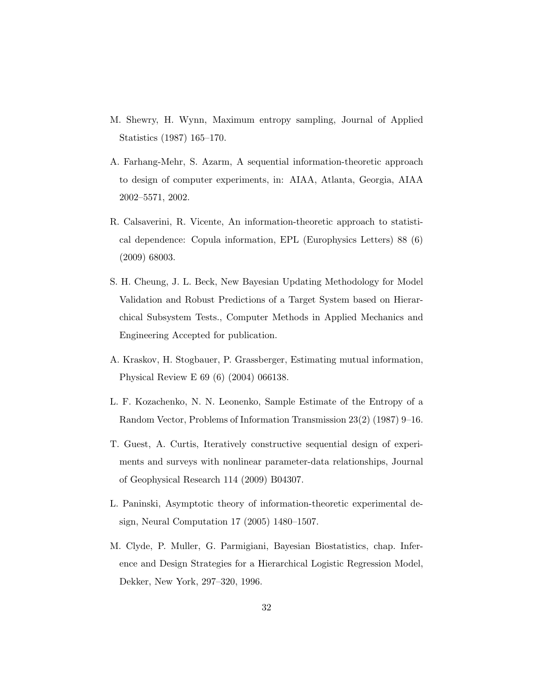- M. Shewry, H. Wynn, Maximum entropy sampling, Journal of Applied Statistics (1987) 165–170.
- A. Farhang-Mehr, S. Azarm, A sequential information-theoretic approach to design of computer experiments, in: AIAA, Atlanta, Georgia, AIAA 2002–5571, 2002.
- R. Calsaverini, R. Vicente, An information-theoretic approach to statistical dependence: Copula information, EPL (Europhysics Letters) 88 (6) (2009) 68003.
- S. H. Cheung, J. L. Beck, New Bayesian Updating Methodology for Model Validation and Robust Predictions of a Target System based on Hierarchical Subsystem Tests., Computer Methods in Applied Mechanics and Engineering Accepted for publication.
- A. Kraskov, H. Stogbauer, P. Grassberger, Estimating mutual information, Physical Review E 69 (6) (2004) 066138.
- L. F. Kozachenko, N. N. Leonenko, Sample Estimate of the Entropy of a Random Vector, Problems of Information Transmission 23(2) (1987) 9–16.
- T. Guest, A. Curtis, Iteratively constructive sequential design of experiments and surveys with nonlinear parameter-data relationships, Journal of Geophysical Research 114 (2009) B04307.
- L. Paninski, Asymptotic theory of information-theoretic experimental design, Neural Computation 17 (2005) 1480–1507.
- M. Clyde, P. Muller, G. Parmigiani, Bayesian Biostatistics, chap. Inference and Design Strategies for a Hierarchical Logistic Regression Model, Dekker, New York, 297–320, 1996.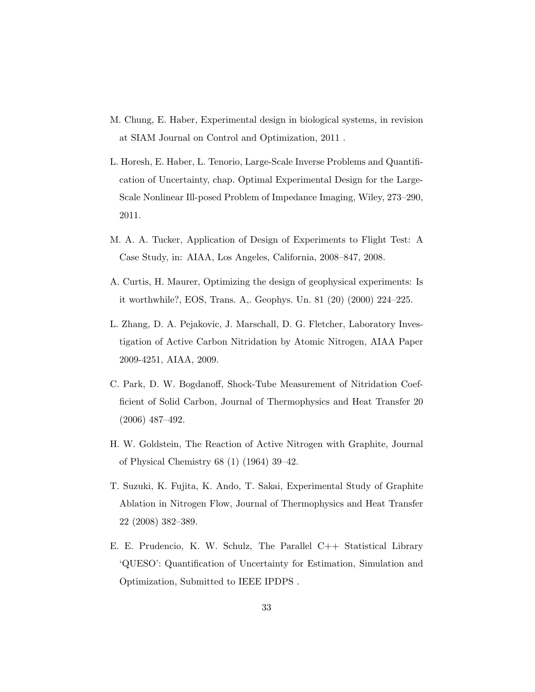- M. Chung, E. Haber, Experimental design in biological systems, in revision at SIAM Journal on Control and Optimization, 2011 .
- L. Horesh, E. Haber, L. Tenorio, Large-Scale Inverse Problems and Quantification of Uncertainty, chap. Optimal Experimental Design for the Large-Scale Nonlinear Ill-posed Problem of Impedance Imaging, Wiley, 273–290, 2011.
- M. A. A. Tucker, Application of Design of Experiments to Flight Test: A Case Study, in: AIAA, Los Angeles, California, 2008–847, 2008.
- A. Curtis, H. Maurer, Optimizing the design of geophysical experiments: Is it worthwhile?, EOS, Trans. A,. Geophys. Un. 81 (20) (2000) 224–225.
- L. Zhang, D. A. Pejakovic, J. Marschall, D. G. Fletcher, Laboratory Investigation of Active Carbon Nitridation by Atomic Nitrogen, AIAA Paper 2009-4251, AIAA, 2009.
- C. Park, D. W. Bogdanoff, Shock-Tube Measurement of Nitridation Coefficient of Solid Carbon, Journal of Thermophysics and Heat Transfer 20 (2006) 487–492.
- H. W. Goldstein, The Reaction of Active Nitrogen with Graphite, Journal of Physical Chemistry 68 (1) (1964) 39–42.
- T. Suzuki, K. Fujita, K. Ando, T. Sakai, Experimental Study of Graphite Ablation in Nitrogen Flow, Journal of Thermophysics and Heat Transfer 22 (2008) 382–389.
- E. E. Prudencio, K. W. Schulz, The Parallel C++ Statistical Library 'QUESO': Quantification of Uncertainty for Estimation, Simulation and Optimization, Submitted to IEEE IPDPS .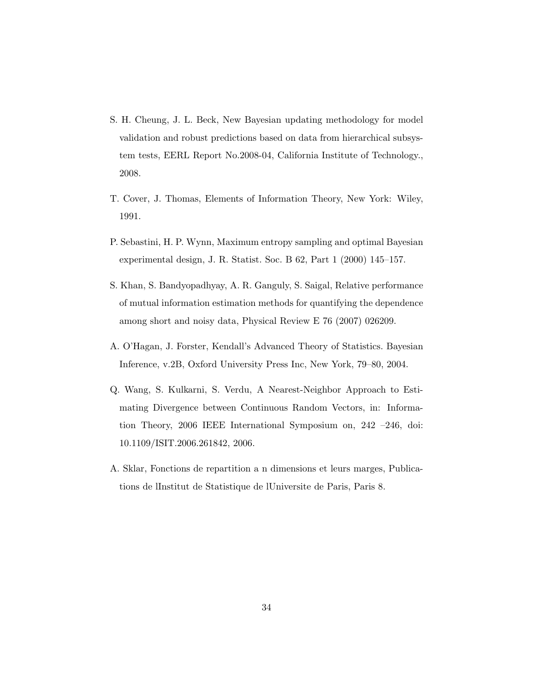- S. H. Cheung, J. L. Beck, New Bayesian updating methodology for model validation and robust predictions based on data from hierarchical subsystem tests, EERL Report No.2008-04, California Institute of Technology., 2008.
- T. Cover, J. Thomas, Elements of Information Theory, New York: Wiley, 1991.
- P. Sebastini, H. P. Wynn, Maximum entropy sampling and optimal Bayesian experimental design, J. R. Statist. Soc. B 62, Part 1 (2000) 145–157.
- S. Khan, S. Bandyopadhyay, A. R. Ganguly, S. Saigal, Relative performance of mutual information estimation methods for quantifying the dependence among short and noisy data, Physical Review E 76 (2007) 026209.
- A. O'Hagan, J. Forster, Kendall's Advanced Theory of Statistics. Bayesian Inference, v.2B, Oxford University Press Inc, New York, 79–80, 2004.
- Q. Wang, S. Kulkarni, S. Verdu, A Nearest-Neighbor Approach to Estimating Divergence between Continuous Random Vectors, in: Information Theory, 2006 IEEE International Symposium on, 242 –246, doi: 10.1109/ISIT.2006.261842, 2006.
- A. Sklar, Fonctions de repartition a n dimensions et leurs marges, Publications de lInstitut de Statistique de lUniversite de Paris, Paris 8.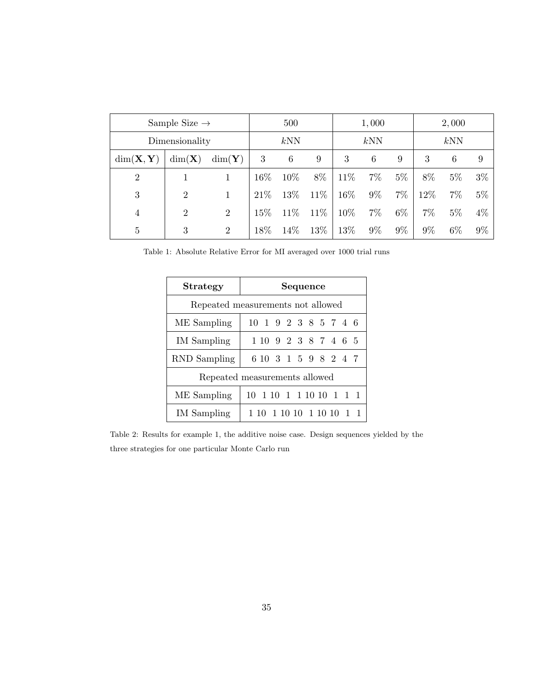| Sample Size $\rightarrow$     |                   |                   | 500  |      |      | 1,000 |       |       | 2,000 |       |       |
|-------------------------------|-------------------|-------------------|------|------|------|-------|-------|-------|-------|-------|-------|
| Dimensionality                |                   |                   | kNN  |      |      | kNN   |       |       | kNN   |       |       |
| $dim(\mathbf{X}, \mathbf{Y})$ | $dim(\mathbf{X})$ | $dim(\mathbf{Y})$ | 3    | 6    | 9    | 3     | 6     | 9     | 3     | 6     | 9     |
| 2                             |                   |                   | 16%  | 10%  | 8%   | 11\%  | $7\%$ | $5\%$ | 8%    | $5\%$ | $3\%$ |
| 3                             | $\overline{2}$    |                   | 21\% | 13%  | 11\% | 16%   | $9\%$ | $7\%$ | 12%   | $7\%$ | $5\%$ |
| $\overline{4}$                | $\overline{2}$    | $\overline{2}$    | 15%  | 11\% | 11\% | 10%   | $7\%$ | $6\%$ | 7%    | $5\%$ | $4\%$ |
| 5                             | 3                 | $\overline{2}$    | 18%  | 14\% | 13%  | 13%   | $9\%$ | $9\%$ | $9\%$ | $6\%$ | $9\%$ |

Table 1: Absolute Relative Error for MI averaged over 1000 trial runs

| <b>Strategy</b>                   | Sequence                      |  |  |  |  |  |  |  |
|-----------------------------------|-------------------------------|--|--|--|--|--|--|--|
| Repeated measurements not allowed |                               |  |  |  |  |  |  |  |
| ME Sampling                       | 10 1 9 2 3 8 5 7 4 6          |  |  |  |  |  |  |  |
| IM Sampling                       | 1 10 9 2 3 8 7 4 6 5          |  |  |  |  |  |  |  |
| <b>RND</b> Sampling               | 6 10 3 1 5 9 8 2 4 7          |  |  |  |  |  |  |  |
|                                   | Repeated measurements allowed |  |  |  |  |  |  |  |
| ME Sampling                       | 10 1 10 1 1 10 10 1 1 1       |  |  |  |  |  |  |  |
| IM Sampling                       | 1 10 1 10 10 1 10 10 1 1      |  |  |  |  |  |  |  |

Table 2: Results for example 1, the additive noise case. Design sequences yielded by the three strategies for one particular Monte Carlo run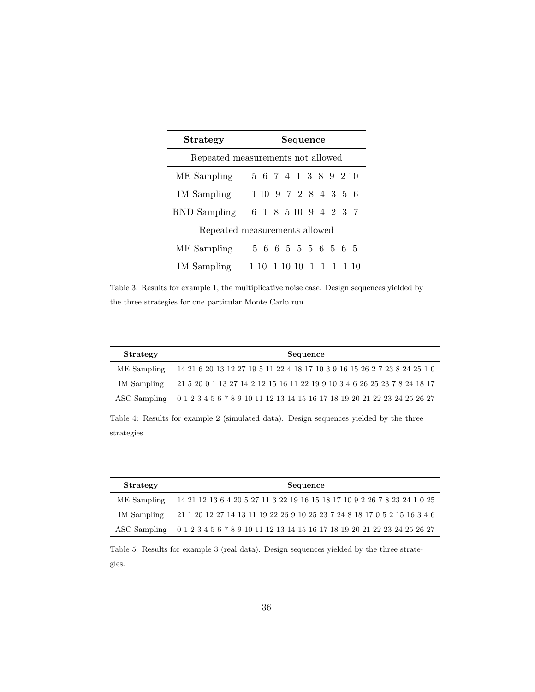| <b>Strategy</b>                   | Sequence                |  |  |  |  |  |  |  |
|-----------------------------------|-------------------------|--|--|--|--|--|--|--|
| Repeated measurements not allowed |                         |  |  |  |  |  |  |  |
| ME Sampling                       | 5 6 7 4 1 3 8 9 2 10    |  |  |  |  |  |  |  |
| IM Sampling                       | 1 10 9 7 2 8 4 3 5 6    |  |  |  |  |  |  |  |
| RND Sampling                      | 6 1 8 5 10 9 4 2 3 7    |  |  |  |  |  |  |  |
| Repeated measurements allowed     |                         |  |  |  |  |  |  |  |
| ME Sampling                       | 5 6 6 5 5 5 6 5 6 5     |  |  |  |  |  |  |  |
| IM Sampling                       | 10 1 10 10 1 1 1 1 1 10 |  |  |  |  |  |  |  |

Table 3: Results for example 1, the multiplicative noise case. Design sequences yielded by the three strategies for one particular Monte Carlo run

| Strategy     | Sequence                                                                                             |
|--------------|------------------------------------------------------------------------------------------------------|
| ME Sampling  | 14 21 6 20 13 12 27 19 5 11 22 4 18 17 10 3 9 16 15 26 2 7 23 8 24 25 1 0                            |
| IM Sampling  | 21  5  20  0  1  13  27  14  2  12  15  16  11  22  19  9  10  3  4  6  26  25  23  7  8  24  18  17 |
| ASC Sampling | 0 1 2 3 4 5 6 7 8 9 10 11 12 13 14 15 16 17 18 19 20 21 22 23 24 25 26 27                            |

Table 4: Results for example 2 (simulated data). Design sequences yielded by the three strategies.

| Strategy     | Sequence                                                                                               |
|--------------|--------------------------------------------------------------------------------------------------------|
| ME Sampling  | 14 21 12 13 6 4 20 5 27 11 3 22 19 16 15 18 17 10 9 2 26 7 8 23 24 1 0 25                              |
| IM Sampling  | $21\ 1\ 20\ 12\ 27\ 14\ 13\ 11\ 19\ 22\ 26\ 9\ 10\ 25\ 23\ 7\ 24\ 8\ 18\ 17\ 0\ 5\ 2\ 15\ 16\ 3\ 4\ 6$ |
| ASC Sampling | $0\ 1\ 2\ 3\ 4\ 5\ 6\ 7\ 8\ 9\ 10\ 11\ 12\ 13\ 14\ 15\ 16\ 17\ 18\ 19\ 20\ 21\ 22\ 23\ 24\ 25\ 26\ 27$ |

Table 5: Results for example 3 (real data). Design sequences yielded by the three strategies.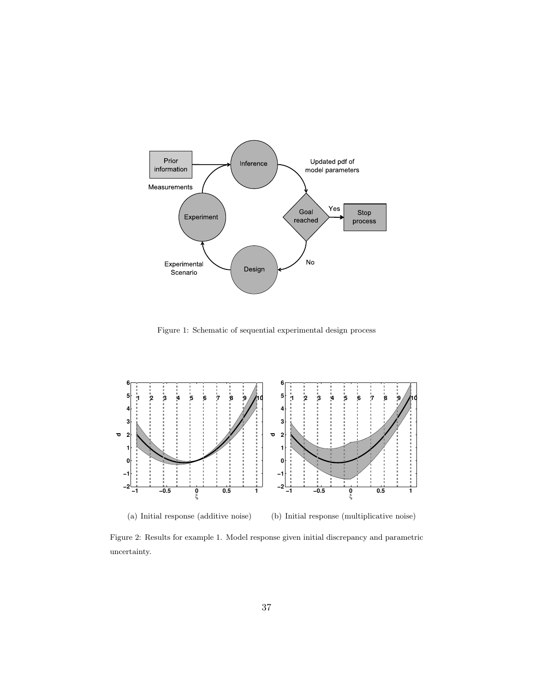

Figure 1: Schematic of sequential experimental design process



(a) Initial response (additive noise)

(b) Initial response (multiplicative noise)

Figure 2: Results for example 1. Model response given initial discrepancy and parametric uncertainty.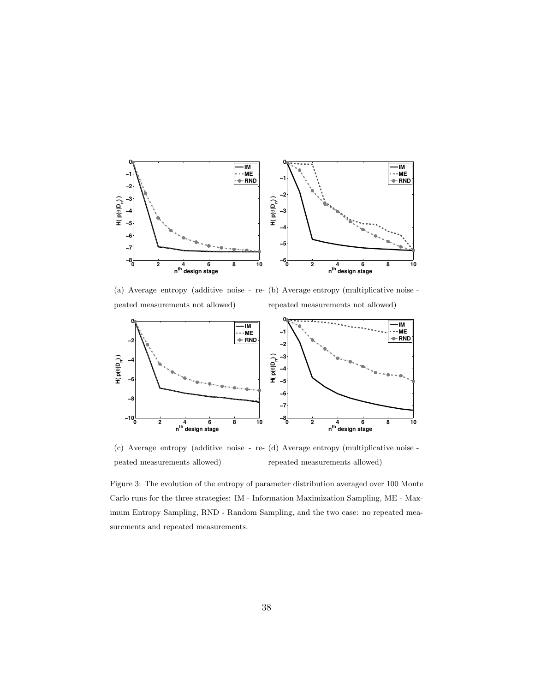

(a) Average entropy (additive noise - re-(b) Average entropy (multiplicative noise peated measurements not allowed) repeated measurements not allowed)



(c) Average entropy (additive noise - re-(d) Average entropy (multiplicative noise peated measurements allowed) repeated measurements allowed)

Figure 3: The evolution of the entropy of parameter distribution averaged over 100 Monte Carlo runs for the three strategies: IM - Information Maximization Sampling, ME - Maximum Entropy Sampling, RND - Random Sampling, and the two case: no repeated measurements and repeated measurements.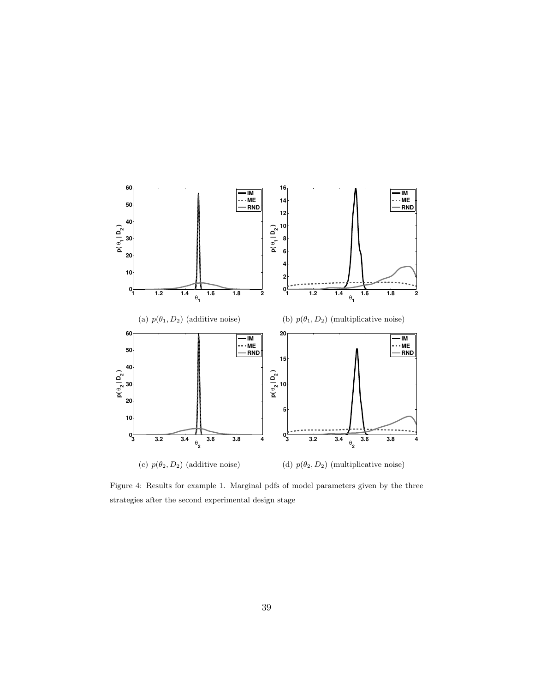

Figure 4: Results for example 1. Marginal pdfs of model parameters given by the three strategies after the second experimental design stage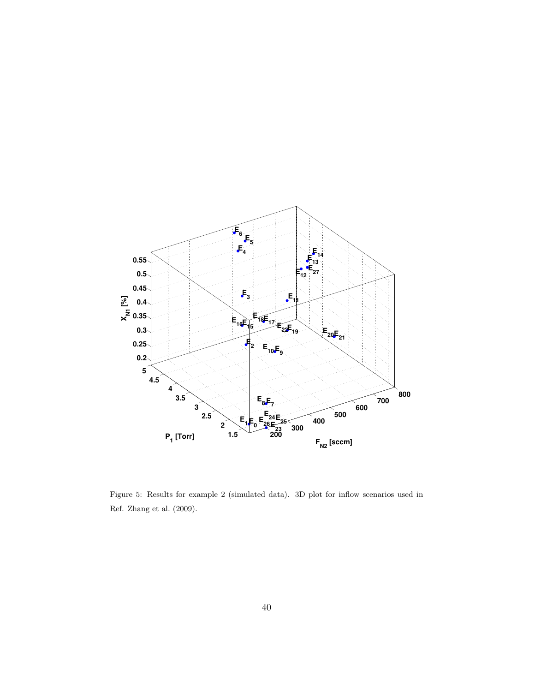

Figure 5: Results for example 2 (simulated data). 3D plot for inflow scenarios used in Ref. Zhang et al. (2009).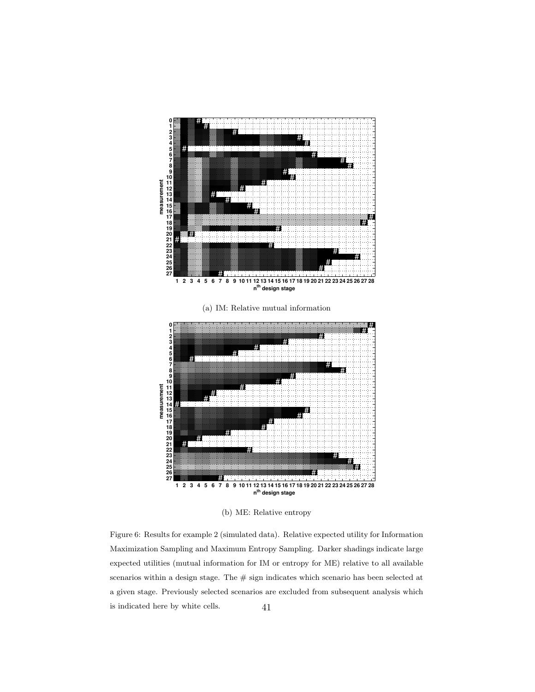

(b) ME: Relative entropy

Figure 6: Results for example 2 (simulated data). Relative expected utility for Information Maximization Sampling and Maximum Entropy Sampling. Darker shadings indicate large expected utilities (mutual information for IM or entropy for ME) relative to all available scenarios within a design stage. The  $\#$  sign indicates which scenario has been selected at a given stage. Previously selected scenarios are excluded from subsequent analysis which is indicated here by white cells. 41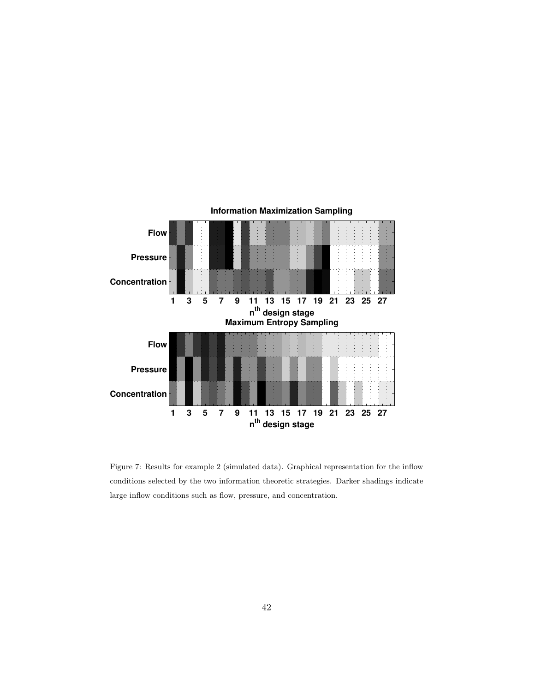

Figure 7: Results for example 2 (simulated data). Graphical representation for the inflow conditions selected by the two information theoretic strategies. Darker shadings indicate large inflow conditions such as flow, pressure, and concentration.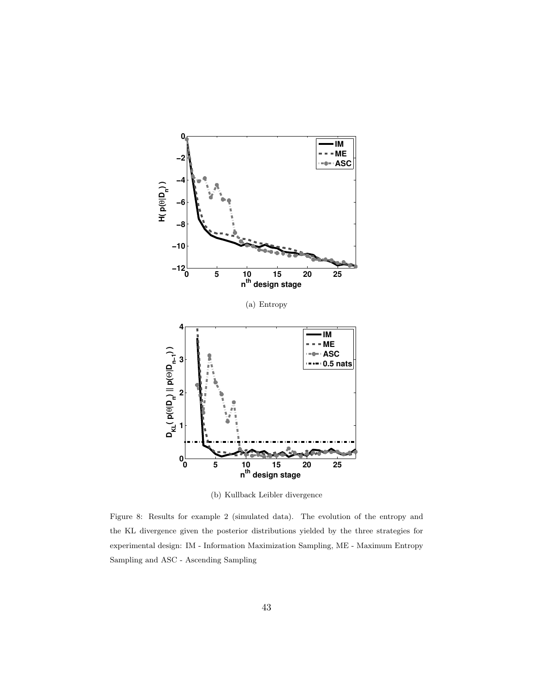

(b) Kullback Leibler divergence

Figure 8: Results for example 2 (simulated data). The evolution of the entropy and the KL divergence given the posterior distributions yielded by the three strategies for experimental design: IM - Information Maximization Sampling, ME - Maximum Entropy Sampling and ASC - Ascending Sampling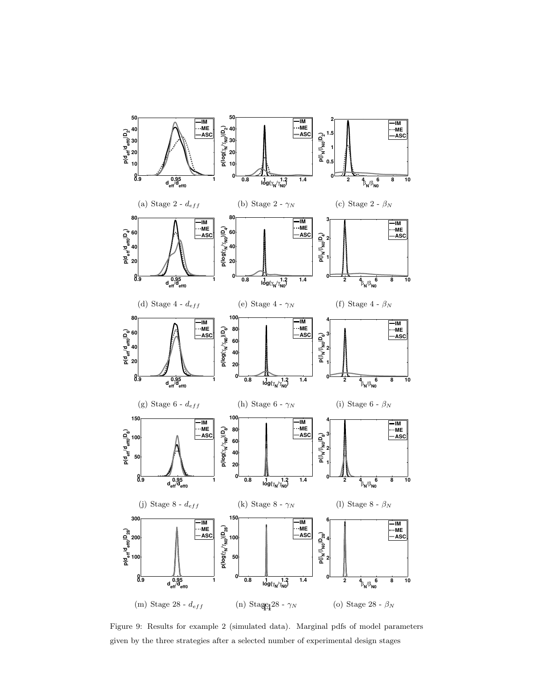

Figure 9: Results for example 2 (simulated data). Marginal pdfs of model parameters given by the three strategies after a selected number of experimental design stages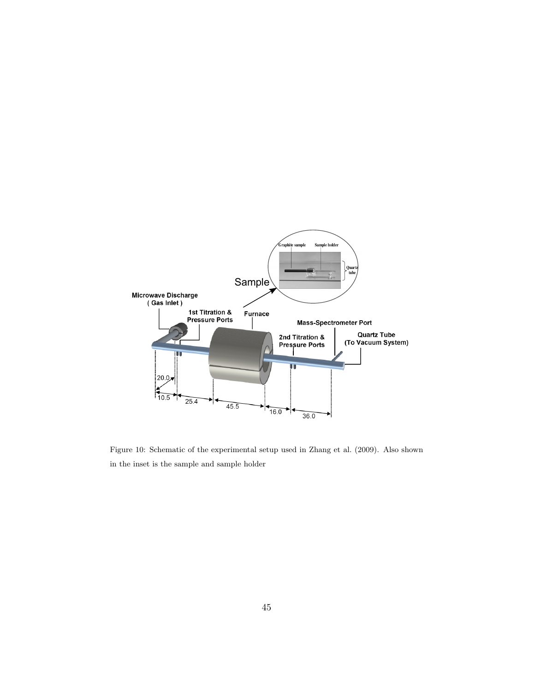

Figure 10: Schematic of the experimental setup used in Zhang et al. (2009). Also shown in the inset is the sample and sample holder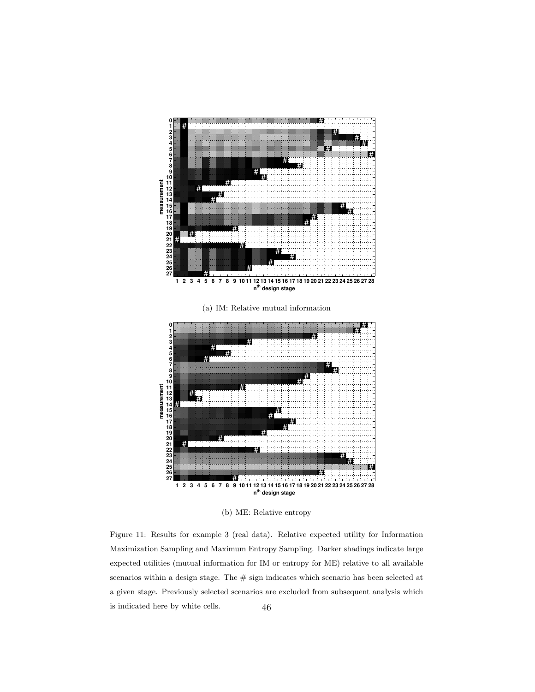

(b) ME: Relative entropy

Figure 11: Results for example 3 (real data). Relative expected utility for Information Maximization Sampling and Maximum Entropy Sampling. Darker shadings indicate large expected utilities (mutual information for IM or entropy for ME) relative to all available scenarios within a design stage. The  $\#$  sign indicates which scenario has been selected at a given stage. Previously selected scenarios are excluded from subsequent analysis which is indicated here by white cells. 46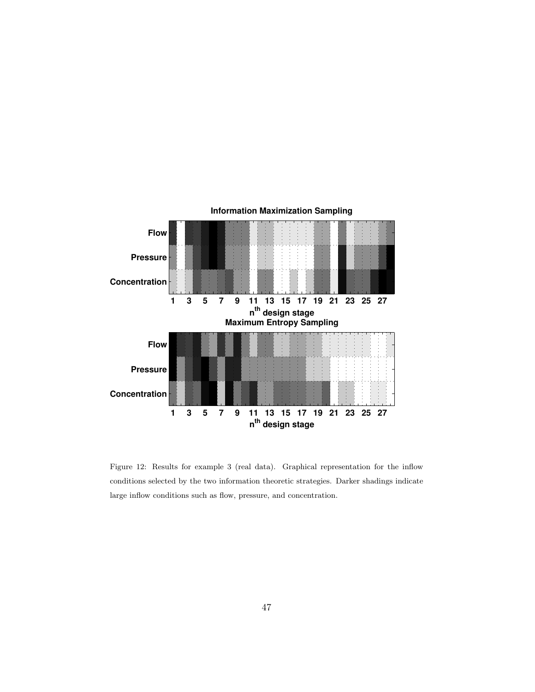

Figure 12: Results for example 3 (real data). Graphical representation for the inflow conditions selected by the two information theoretic strategies. Darker shadings indicate large inflow conditions such as flow, pressure, and concentration.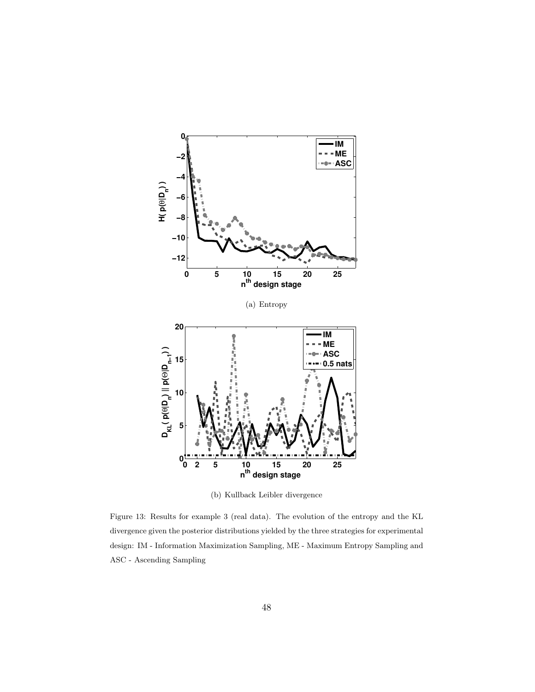

(b) Kullback Leibler divergence

Figure 13: Results for example 3 (real data). The evolution of the entropy and the KL divergence given the posterior distributions yielded by the three strategies for experimental design: IM - Information Maximization Sampling, ME - Maximum Entropy Sampling and ASC - Ascending Sampling